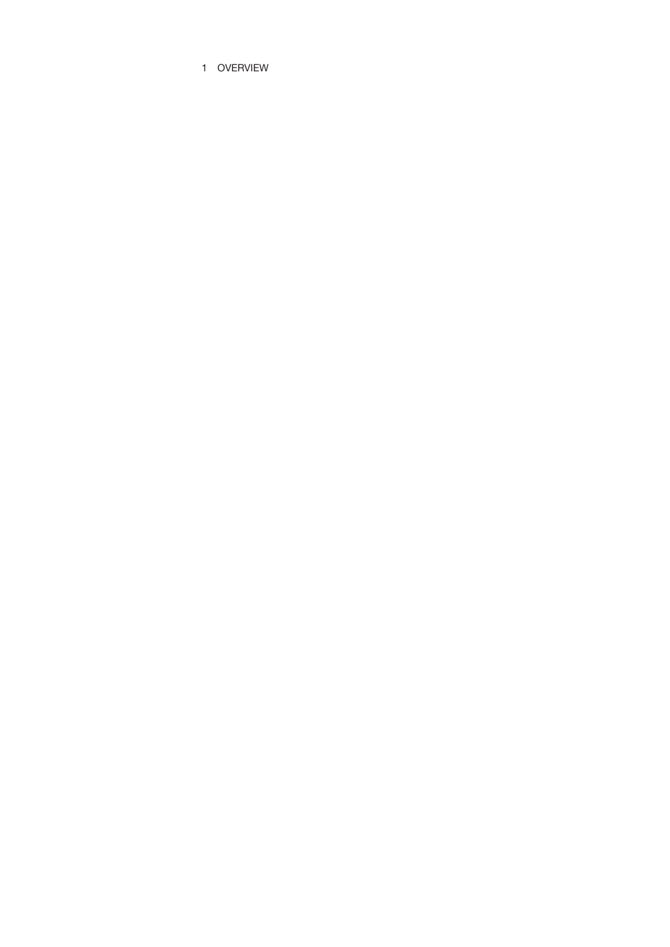1 OVERVIEW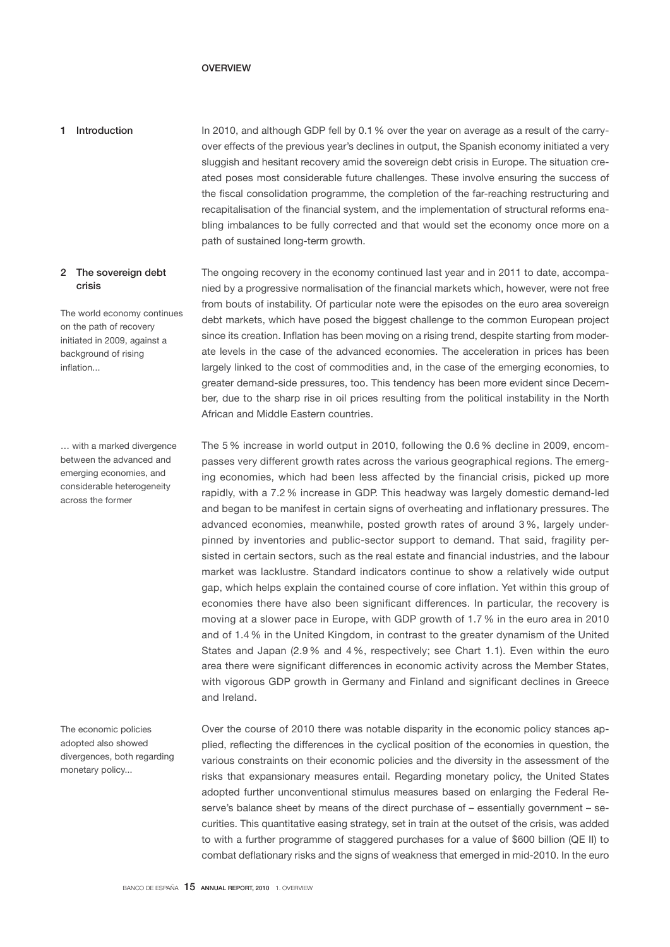# OVERVIEW

In 2010, and although GDP fell by 0.1 % over the year on average as a result of the carryover effects of the previous year's declines in output, the Spanish economy initiated a very sluggish and hesitant recovery amid the sovereign debt crisis in Europe. The situation created poses most considerable future challenges. These involve ensuring the success of the fiscal consolidation programme, the completion of the far-reaching restructuring and recapitalisation of the financial system, and the implementation of structural reforms enabling imbalances to be fully corrected and that would set the economy once more on a path of sustained long-term growth. 1 Introduction

# 2 The sovereign debt crisis

The world economy continues on the path of recovery initiated in 2009, against a background of rising inflation...

… with a marked divergence between the advanced and emerging economies, and considerable heterogeneity across the former

The economic policies adopted also showed divergences, both regarding monetary policy...

The ongoing recovery in the economy continued last year and in 2011 to date, accompanied by a progressive normalisation of the financial markets which, however, were not free from bouts of instability. Of particular note were the episodes on the euro area sovereign debt markets, which have posed the biggest challenge to the common European project since its creation. Inflation has been moving on a rising trend, despite starting from moderate levels in the case of the advanced economies. The acceleration in prices has been largely linked to the cost of commodities and, in the case of the emerging economies, to greater demand-side pressures, too. This tendency has been more evident since December, due to the sharp rise in oil prices resulting from the political instability in the North African and Middle Eastern countries.

The 5 % increase in world output in 2010, following the 0.6 % decline in 2009, encompasses very different growth rates across the various geographical regions. The emerging economies, which had been less affected by the financial crisis, picked up more rapidly, with a 7.2 % increase in GDP. This headway was largely domestic demand-led and began to be manifest in certain signs of overheating and inflationary pressures. The advanced economies, meanwhile, posted growth rates of around 3 %, largely underpinned by inventories and public-sector support to demand. That said, fragility persisted in certain sectors, such as the real estate and financial industries, and the labour market was lacklustre. Standard indicators continue to show a relatively wide output gap, which helps explain the contained course of core inflation. Yet within this group of economies there have also been significant differences. In particular, the recovery is moving at a slower pace in Europe, with GDP growth of 1.7 % in the euro area in 2010 and of 1.4 % in the United Kingdom, in contrast to the greater dynamism of the United States and Japan (2.9 % and 4 %, respectively; see Chart 1.1). Even within the euro area there were significant differences in economic activity across the Member States, with vigorous GDP growth in Germany and Finland and significant declines in Greece and Ireland.

Over the course of 2010 there was notable disparity in the economic policy stances applied, reflecting the differences in the cyclical position of the economies in question, the various constraints on their economic policies and the diversity in the assessment of the risks that expansionary measures entail. Regarding monetary policy, the United States adopted further unconventional stimulus measures based on enlarging the Federal Reserve's balance sheet by means of the direct purchase of – essentially government – securities. This quantitative easing strategy, set in train at the outset of the crisis, was added to with a further programme of staggered purchases for a value of \$600 billion (QE II) to combat deflationary risks and the signs of weakness that emerged in mid-2010. In the euro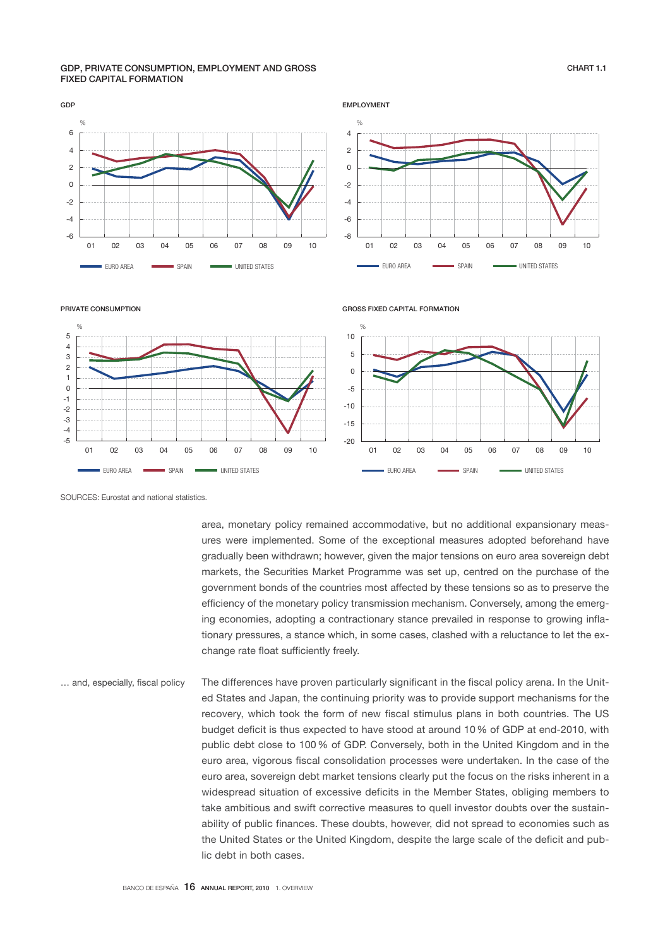#### GDP, PRIVATE CONSUMPTION, EMPLOYMENT AND GROSS FIXED CAPITAL FORMATION



PRIVATE CONSUMPTION



SOURCES: Eurostat and national statistics.

area, monetary policy remained accommodative, but no additional expansionary measures were implemented. Some of the exceptional measures adopted beforehand have gradually been withdrawn; however, given the major tensions on euro area sovereign debt markets, the Securities Market Programme was set up, centred on the purchase of the government bonds of the countries most affected by these tensions so as to preserve the efficiency of the monetary policy transmission mechanism. Conversely, among the emerging economies, adopting a contractionary stance prevailed in response to growing inflationary pressures, a stance which, in some cases, clashed with a reluctance to let the exchange rate float sufficiently freely.

The differences have proven particularly significant in the fiscal policy arena. In the United States and Japan, the continuing priority was to provide support mechanisms for the recovery, which took the form of new fiscal stimulus plans in both countries. The US budget deficit is thus expected to have stood at around 10 % of GDP at end-2010, with public debt close to 100 % of GDP. Conversely, both in the United Kingdom and in the euro area, vigorous fiscal consolidation processes were undertaken. In the case of the euro area, sovereign debt market tensions clearly put the focus on the risks inherent in a widespread situation of excessive deficits in the Member States, obliging members to take ambitious and swift corrective measures to quell investor doubts over the sustainability of public finances. These doubts, however, did not spread to economies such as the United States or the United Kingdom, despite the large scale of the deficit and public debt in both cases. … and, especially, fiscal policy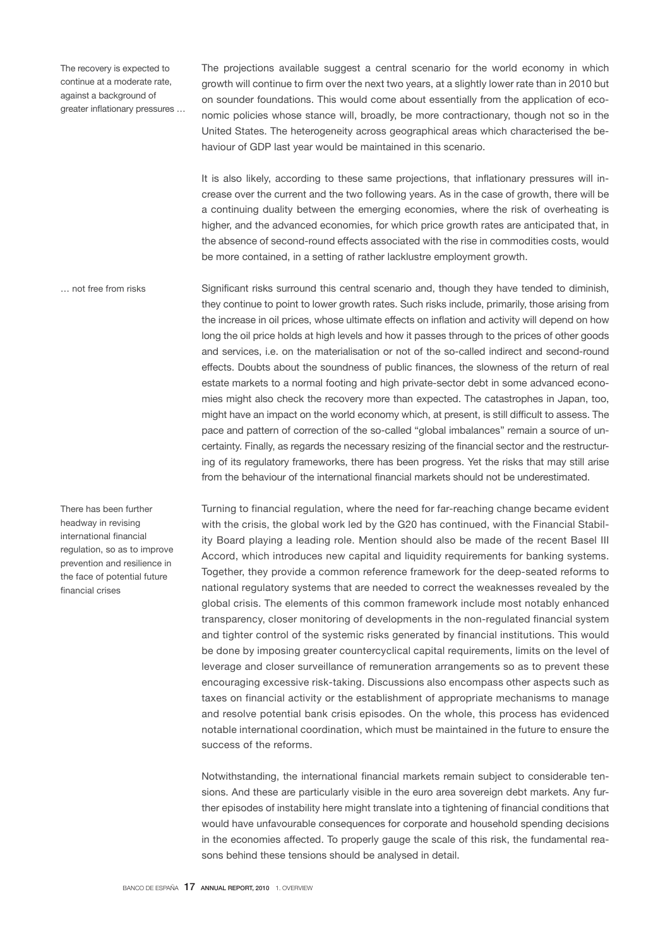The recovery is expected to continue at a moderate rate, against a background of greater inflationary pressures …

The projections available suggest a central scenario for the world economy in which growth will continue to firm over the next two years, at a slightly lower rate than in 2010 but on sounder foundations. This would come about essentially from the application of economic policies whose stance will, broadly, be more contractionary, though not so in the United States. The heterogeneity across geographical areas which characterised the behaviour of GDP last year would be maintained in this scenario.

It is also likely, according to these same projections, that inflationary pressures will increase over the current and the two following years. As in the case of growth, there will be a continuing duality between the emerging economies, where the risk of overheating is higher, and the advanced economies, for which price growth rates are anticipated that, in the absence of second-round effects associated with the rise in commodities costs, would be more contained, in a setting of rather lacklustre employment growth.

Significant risks surround this central scenario and, though they have tended to diminish, they continue to point to lower growth rates. Such risks include, primarily, those arising from the increase in oil prices, whose ultimate effects on inflation and activity will depend on how long the oil price holds at high levels and how it passes through to the prices of other goods and services, i.e. on the materialisation or not of the so-called indirect and second-round effects. Doubts about the soundness of public finances, the slowness of the return of real estate markets to a normal footing and high private-sector debt in some advanced economies might also check the recovery more than expected. The catastrophes in Japan, too, might have an impact on the world economy which, at present, is still difficult to assess. The pace and pattern of correction of the so-called "global imbalances" remain a source of uncertainty. Finally, as regards the necessary resizing of the financial sector and the restructuring of its regulatory frameworks, there has been progress. Yet the risks that may still arise from the behaviour of the international financial markets should not be underestimated. … not free from risks

There has been further headway in revising international financial regulation, so as to improve prevention and resilience in the face of potential future financial crises

Turning to financial regulation, where the need for far-reaching change became evident with the crisis, the global work led by the G20 has continued, with the Financial Stability Board playing a leading role. Mention should also be made of the recent Basel III Accord, which introduces new capital and liquidity requirements for banking systems. Together, they provide a common reference framework for the deep-seated reforms to national regulatory systems that are needed to correct the weaknesses revealed by the global crisis. The elements of this common framework include most notably enhanced transparency, closer monitoring of developments in the non-regulated financial system and tighter control of the systemic risks generated by financial institutions. This would be done by imposing greater countercyclical capital requirements, limits on the level of leverage and closer surveillance of remuneration arrangements so as to prevent these encouraging excessive risk-taking. Discussions also encompass other aspects such as taxes on financial activity or the establishment of appropriate mechanisms to manage and resolve potential bank crisis episodes. On the whole, this process has evidenced notable international coordination, which must be maintained in the future to ensure the success of the reforms.

Notwithstanding, the international financial markets remain subject to considerable tensions. And these are particularly visible in the euro area sovereign debt markets. Any further episodes of instability here might translate into a tightening of financial conditions that would have unfavourable consequences for corporate and household spending decisions in the economies affected. To properly gauge the scale of this risk, the fundamental reasons behind these tensions should be analysed in detail.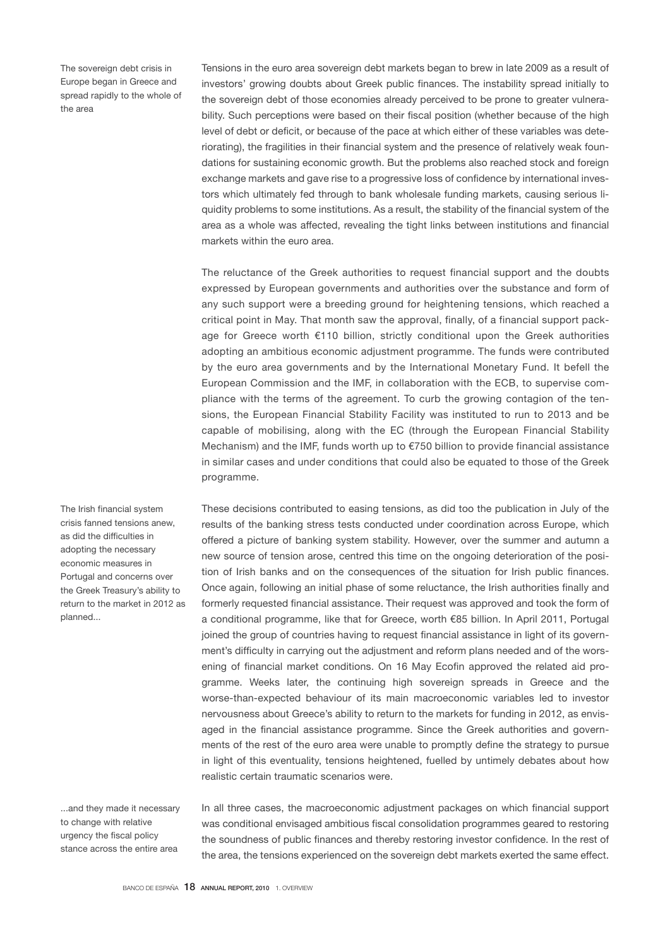The sovereign debt crisis in Europe began in Greece and spread rapidly to the whole of the area

Tensions in the euro area sovereign debt markets began to brew in late 2009 as a result of investors' growing doubts about Greek public finances. The instability spread initially to the sovereign debt of those economies already perceived to be prone to greater vulnerability. Such perceptions were based on their fiscal position (whether because of the high level of debt or deficit, or because of the pace at which either of these variables was deteriorating), the fragilities in their financial system and the presence of relatively weak foundations for sustaining economic growth. But the problems also reached stock and foreign exchange markets and gave rise to a progressive loss of confidence by international investors which ultimately fed through to bank wholesale funding markets, causing serious liquidity problems to some institutions. As a result, the stability of the financial system of the area as a whole was affected, revealing the tight links between institutions and financial markets within the euro area.

The reluctance of the Greek authorities to request financial support and the doubts expressed by European governments and authorities over the substance and form of any such support were a breeding ground for heightening tensions, which reached a critical point in May. That month saw the approval, finally, of a financial support package for Greece worth €110 billion, strictly conditional upon the Greek authorities adopting an ambitious economic adjustment programme. The funds were contributed by the euro area governments and by the International Monetary Fund. It befell the European Commission and the IMF, in collaboration with the ECB, to supervise compliance with the terms of the agreement. To curb the growing contagion of the tensions, the European Financial Stability Facility was instituted to run to 2013 and be capable of mobilising, along with the EC (through the European Financial Stability Mechanism) and the IMF, funds worth up to €750 billion to provide financial assistance in similar cases and under conditions that could also be equated to those of the Greek programme.

These decisions contributed to easing tensions, as did too the publication in July of the results of the banking stress tests conducted under coordination across Europe, which offered a picture of banking system stability. However, over the summer and autumn a new source of tension arose, centred this time on the ongoing deterioration of the position of Irish banks and on the consequences of the situation for Irish public finances. Once again, following an initial phase of some reluctance, the Irish authorities finally and formerly requested financial assistance. Their request was approved and took the form of a conditional programme, like that for Greece, worth €85 billion. In April 2011, Portugal joined the group of countries having to request financial assistance in light of its government's difficulty in carrying out the adjustment and reform plans needed and of the worsening of financial market conditions. On 16 May Ecofin approved the related aid programme. Weeks later, the continuing high sovereign spreads in Greece and the worse-than-expected behaviour of its main macroeconomic variables led to investor nervousness about Greece's ability to return to the markets for funding in 2012, as envisaged in the financial assistance programme. Since the Greek authorities and governments of the rest of the euro area were unable to promptly define the strategy to pursue in light of this eventuality, tensions heightened, fuelled by untimely debates about how realistic certain traumatic scenarios were.

...and they made it necessary to change with relative urgency the fiscal policy stance across the entire area

The Irish financial system crisis fanned tensions anew, as did the difficulties in adopting the necessary economic measures in Portugal and concerns over the Greek Treasury's ability to return to the market in 2012 as

planned...

In all three cases, the macroeconomic adjustment packages on which financial support was conditional envisaged ambitious fiscal consolidation programmes geared to restoring the soundness of public finances and thereby restoring investor confidence. In the rest of the area, the tensions experienced on the sovereign debt markets exerted the same effect.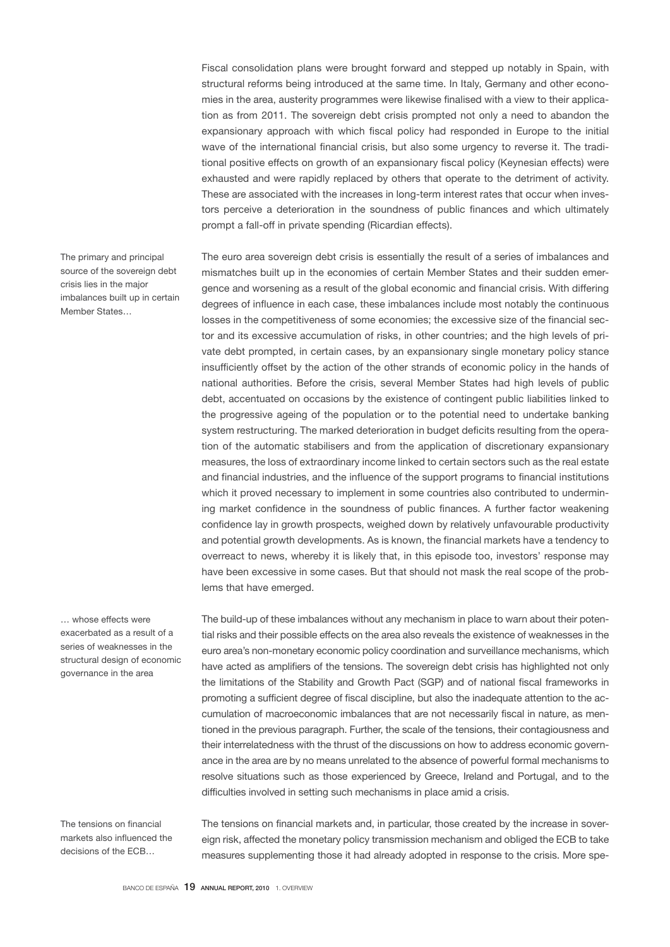Fiscal consolidation plans were brought forward and stepped up notably in Spain, with structural reforms being introduced at the same time. In Italy, Germany and other economies in the area, austerity programmes were likewise finalised with a view to their application as from 2011. The sovereign debt crisis prompted not only a need to abandon the expansionary approach with which fiscal policy had responded in Europe to the initial wave of the international financial crisis, but also some urgency to reverse it. The traditional positive effects on growth of an expansionary fiscal policy (Keynesian effects) were exhausted and were rapidly replaced by others that operate to the detriment of activity. These are associated with the increases in long-term interest rates that occur when investors perceive a deterioration in the soundness of public finances and which ultimately prompt a fall-off in private spending (Ricardian effects).

The euro area sovereign debt crisis is essentially the result of a series of imbalances and mismatches built up in the economies of certain Member States and their sudden emergence and worsening as a result of the global economic and financial crisis. With differing degrees of influence in each case, these imbalances include most notably the continuous losses in the competitiveness of some economies; the excessive size of the financial sector and its excessive accumulation of risks, in other countries; and the high levels of private debt prompted, in certain cases, by an expansionary single monetary policy stance insufficiently offset by the action of the other strands of economic policy in the hands of national authorities. Before the crisis, several Member States had high levels of public debt, accentuated on occasions by the existence of contingent public liabilities linked to the progressive ageing of the population or to the potential need to undertake banking system restructuring. The marked deterioration in budget deficits resulting from the operation of the automatic stabilisers and from the application of discretionary expansionary measures, the loss of extraordinary income linked to certain sectors such as the real estate and financial industries, and the influence of the support programs to financial institutions which it proved necessary to implement in some countries also contributed to undermining market confidence in the soundness of public finances. A further factor weakening confidence lay in growth prospects, weighed down by relatively unfavourable productivity and potential growth developments. As is known, the financial markets have a tendency to overreact to news, whereby it is likely that, in this episode too, investors' response may have been excessive in some cases. But that should not mask the real scope of the problems that have emerged.

The build-up of these imbalances without any mechanism in place to warn about their potential risks and their possible effects on the area also reveals the existence of weaknesses in the euro area's non-monetary economic policy coordination and surveillance mechanisms, which have acted as amplifiers of the tensions. The sovereign debt crisis has highlighted not only the limitations of the Stability and Growth Pact (SGP) and of national fiscal frameworks in promoting a sufficient degree of fiscal discipline, but also the inadequate attention to the accumulation of macroeconomic imbalances that are not necessarily fiscal in nature, as mentioned in the previous paragraph. Further, the scale of the tensions, their contagiousness and their interrelatedness with the thrust of the discussions on how to address economic governance in the area are by no means unrelated to the absence of powerful formal mechanisms to resolve situations such as those experienced by Greece, Ireland and Portugal, and to the difficulties involved in setting such mechanisms in place amid a crisis.

The tensions on financial markets also influenced the decisions of the ECB…

… whose effects were exacerbated as a result of a series of weaknesses in the structural design of economic governance in the area

> The tensions on financial markets and, in particular, those created by the increase in sovereign risk, affected the monetary policy transmission mechanism and obliged the ECB to take measures supplementing those it had already adopted in response to the crisis. More spe-

The primary and principal source of the sovereign debt crisis lies in the major imbalances built up in certain Member States…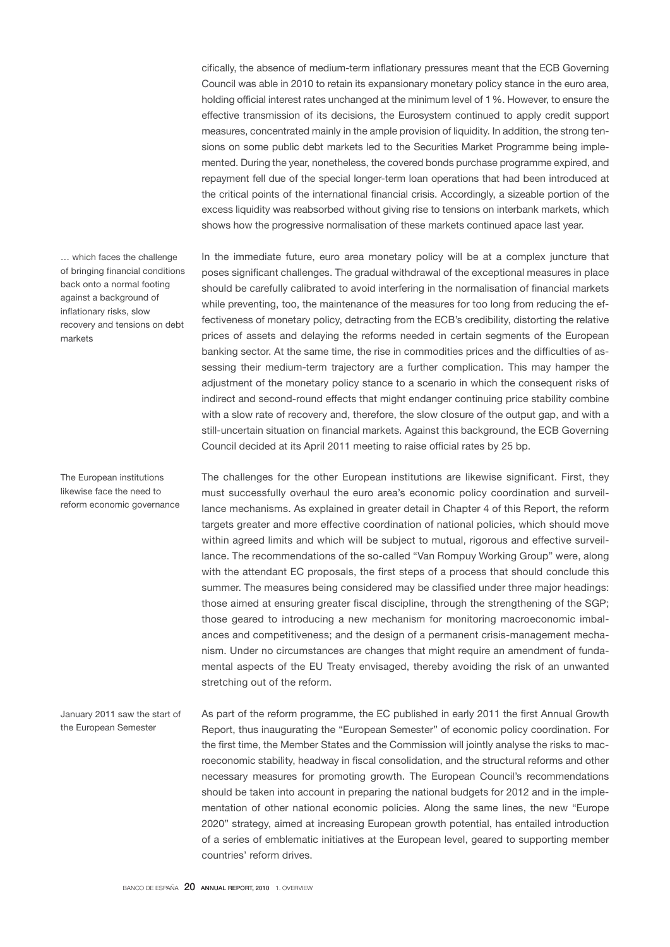cifically, the absence of medium-term inflationary pressures meant that the ECB Governing Council was able in 2010 to retain its expansionary monetary policy stance in the euro area, holding official interest rates unchanged at the minimum level of 1 %. However, to ensure the effective transmission of its decisions, the Eurosystem continued to apply credit support measures, concentrated mainly in the ample provision of liquidity. In addition, the strong tensions on some public debt markets led to the Securities Market Programme being implemented. During the year, nonetheless, the covered bonds purchase programme expired, and repayment fell due of the special longer-term loan operations that had been introduced at the critical points of the international financial crisis. Accordingly, a sizeable portion of the excess liquidity was reabsorbed without giving rise to tensions on interbank markets, which shows how the progressive normalisation of these markets continued apace last year.

In the immediate future, euro area monetary policy will be at a complex juncture that poses significant challenges. The gradual withdrawal of the exceptional measures in place should be carefully calibrated to avoid interfering in the normalisation of financial markets while preventing, too, the maintenance of the measures for too long from reducing the effectiveness of monetary policy, detracting from the ECB's credibility, distorting the relative prices of assets and delaying the reforms needed in certain segments of the European banking sector. At the same time, the rise in commodities prices and the difficulties of assessing their medium-term trajectory are a further complication. This may hamper the adjustment of the monetary policy stance to a scenario in which the consequent risks of indirect and second-round effects that might endanger continuing price stability combine with a slow rate of recovery and, therefore, the slow closure of the output gap, and with a still-uncertain situation on financial markets. Against this background, the ECB Governing Council decided at its April 2011 meeting to raise official rates by 25 bp.

The challenges for the other European institutions are likewise significant. First, they must successfully overhaul the euro area's economic policy coordination and surveillance mechanisms. As explained in greater detail in Chapter 4 of this Report, the reform targets greater and more effective coordination of national policies, which should move within agreed limits and which will be subject to mutual, rigorous and effective surveillance. The recommendations of the so-called "Van Rompuy Working Group" were, along with the attendant EC proposals, the first steps of a process that should conclude this summer. The measures being considered may be classified under three major headings: those aimed at ensuring greater fiscal discipline, through the strengthening of the SGP; those geared to introducing a new mechanism for monitoring macroeconomic imbalances and competitiveness; and the design of a permanent crisis-management mechanism. Under no circumstances are changes that might require an amendment of fundamental aspects of the EU Treaty envisaged, thereby avoiding the risk of an unwanted stretching out of the reform.

As part of the reform programme, the EC published in early 2011 the first Annual Growth Report, thus inaugurating the "European Semester" of economic policy coordination. For the first time, the Member States and the Commission will jointly analyse the risks to macroeconomic stability, headway in fiscal consolidation, and the structural reforms and other necessary measures for promoting growth. The European Council's recommendations should be taken into account in preparing the national budgets for 2012 and in the implementation of other national economic policies. Along the same lines, the new "Europe 2020" strategy, aimed at increasing European growth potential, has entailed introduction of a series of emblematic initiatives at the European level, geared to supporting member countries' reform drives. January 2011 saw the start of the European Semester

… which faces the challenge of bringing financial conditions back onto a normal footing against a background of inflationary risks, slow recovery and tensions on debt markets

The European institutions likewise face the need to reform economic governance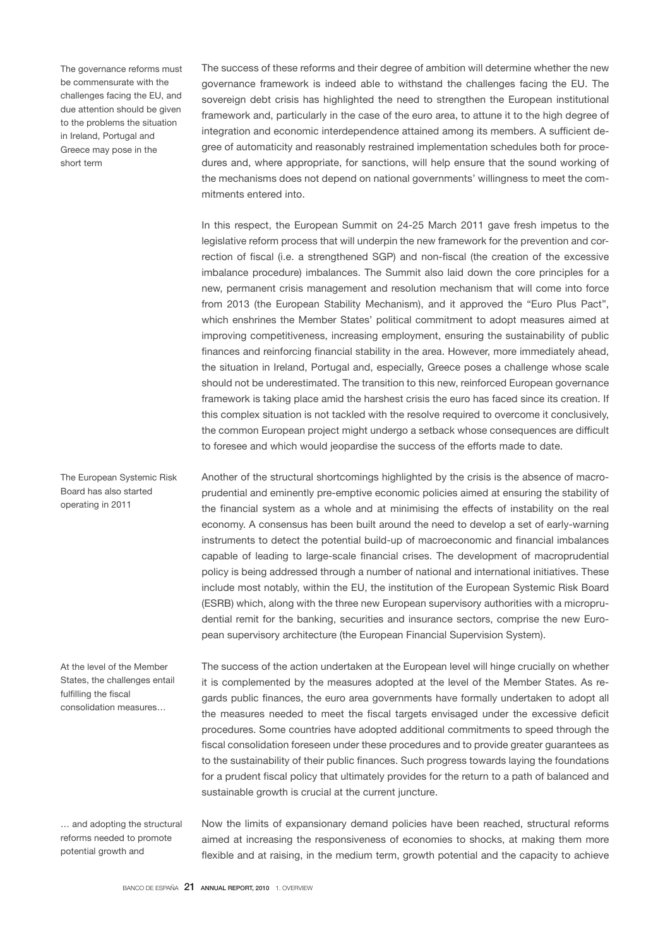The governance reforms must be commensurate with the challenges facing the EU, and due attention should be given to the problems the situation in Ireland, Portugal and Greece may pose in the short term

The success of these reforms and their degree of ambition will determine whether the new governance framework is indeed able to withstand the challenges facing the EU. The sovereign debt crisis has highlighted the need to strengthen the European institutional framework and, particularly in the case of the euro area, to attune it to the high degree of integration and economic interdependence attained among its members. A sufficient degree of automaticity and reasonably restrained implementation schedules both for procedures and, where appropriate, for sanctions, will help ensure that the sound working of the mechanisms does not depend on national governments' willingness to meet the commitments entered into.

In this respect, the European Summit on 24-25 March 2011 gave fresh impetus to the legislative reform process that will underpin the new framework for the prevention and correction of fiscal (i.e. a strengthened SGP) and non-fiscal (the creation of the excessive imbalance procedure) imbalances. The Summit also laid down the core principles for a new, permanent crisis management and resolution mechanism that will come into force from 2013 (the European Stability Mechanism), and it approved the "Euro Plus Pact", which enshrines the Member States' political commitment to adopt measures aimed at improving competitiveness, increasing employment, ensuring the sustainability of public finances and reinforcing financial stability in the area. However, more immediately ahead, the situation in Ireland, Portugal and, especially, Greece poses a challenge whose scale should not be underestimated. The transition to this new, reinforced European governance framework is taking place amid the harshest crisis the euro has faced since its creation. If this complex situation is not tackled with the resolve required to overcome it conclusively, the common European project might undergo a setback whose consequences are difficult to foresee and which would jeopardise the success of the efforts made to date.

Another of the structural shortcomings highlighted by the crisis is the absence of macroprudential and eminently pre-emptive economic policies aimed at ensuring the stability of the financial system as a whole and at minimising the effects of instability on the real economy. A consensus has been built around the need to develop a set of early-warning instruments to detect the potential build-up of macroeconomic and financial imbalances capable of leading to large-scale financial crises. The development of macroprudential policy is being addressed through a number of national and international initiatives. These include most notably, within the EU, the institution of the European Systemic Risk Board (ESRB) which, along with the three new European supervisory authorities with a microprudential remit for the banking, securities and insurance sectors, comprise the new European supervisory architecture (the European Financial Supervision System).

At the level of the Member States, the challenges entail fulfilling the fiscal consolidation measures…

The European Systemic Risk Board has also started operating in 2011

… and adopting the structural reforms needed to promote potential growth and

The success of the action undertaken at the European level will hinge crucially on whether it is complemented by the measures adopted at the level of the Member States. As regards public finances, the euro area governments have formally undertaken to adopt all the measures needed to meet the fiscal targets envisaged under the excessive deficit procedures. Some countries have adopted additional commitments to speed through the fiscal consolidation foreseen under these procedures and to provide greater guarantees as to the sustainability of their public finances. Such progress towards laying the foundations for a prudent fiscal policy that ultimately provides for the return to a path of balanced and sustainable growth is crucial at the current juncture.

Now the limits of expansionary demand policies have been reached, structural reforms aimed at increasing the responsiveness of economies to shocks, at making them more flexible and at raising, in the medium term, growth potential and the capacity to achieve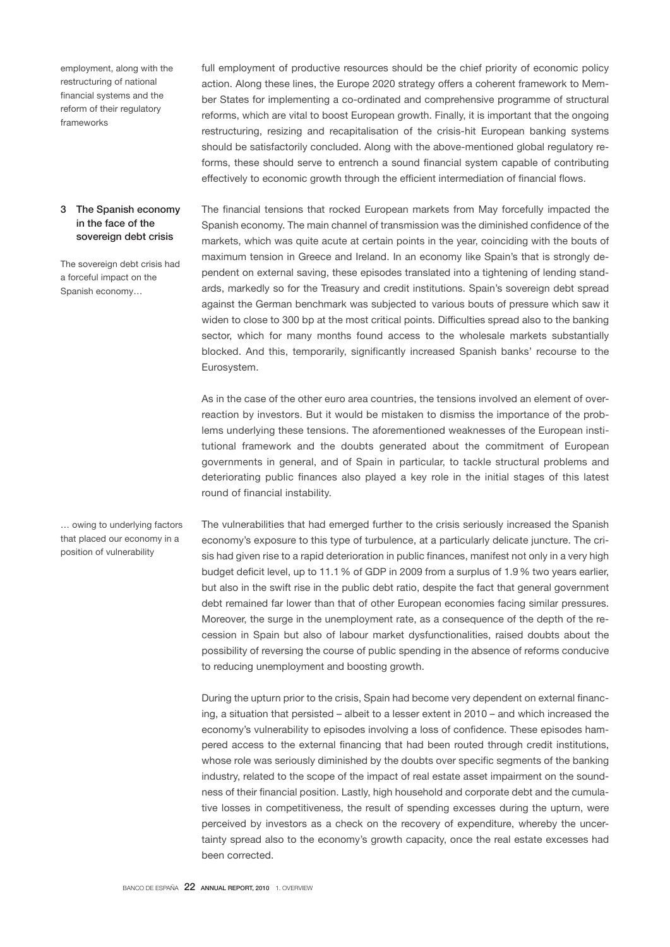employment, along with the restructuring of national financial systems and the reform of their regulatory frameworks

# 3 The Spanish economy in the face of the sovereign debt crisis

The sovereign debt crisis had a forceful impact on the Spanish economy…

… owing to underlying factors that placed our economy in a position of vulnerability

full employment of productive resources should be the chief priority of economic policy action. Along these lines, the Europe 2020 strategy offers a coherent framework to Member States for implementing a co-ordinated and comprehensive programme of structural reforms, which are vital to boost European growth. Finally, it is important that the ongoing restructuring, resizing and recapitalisation of the crisis-hit European banking systems should be satisfactorily concluded. Along with the above-mentioned global regulatory reforms, these should serve to entrench a sound financial system capable of contributing effectively to economic growth through the efficient intermediation of financial flows.

The financial tensions that rocked European markets from May forcefully impacted the Spanish economy. The main channel of transmission was the diminished confidence of the markets, which was quite acute at certain points in the year, coinciding with the bouts of maximum tension in Greece and Ireland. In an economy like Spain's that is strongly dependent on external saving, these episodes translated into a tightening of lending standards, markedly so for the Treasury and credit institutions. Spain's sovereign debt spread against the German benchmark was subjected to various bouts of pressure which saw it widen to close to 300 bp at the most critical points. Difficulties spread also to the banking sector, which for many months found access to the wholesale markets substantially blocked. And this, temporarily, significantly increased Spanish banks' recourse to the Eurosystem.

As in the case of the other euro area countries, the tensions involved an element of overreaction by investors. But it would be mistaken to dismiss the importance of the problems underlying these tensions. The aforementioned weaknesses of the European institutional framework and the doubts generated about the commitment of European governments in general, and of Spain in particular, to tackle structural problems and deteriorating public finances also played a key role in the initial stages of this latest round of financial instability.

The vulnerabilities that had emerged further to the crisis seriously increased the Spanish economy's exposure to this type of turbulence, at a particularly delicate juncture. The crisis had given rise to a rapid deterioration in public finances, manifest not only in a very high budget deficit level, up to 11.1 % of GDP in 2009 from a surplus of 1.9 % two years earlier, but also in the swift rise in the public debt ratio, despite the fact that general government debt remained far lower than that of other European economies facing similar pressures. Moreover, the surge in the unemployment rate, as a consequence of the depth of the recession in Spain but also of labour market dysfunctionalities, raised doubts about the possibility of reversing the course of public spending in the absence of reforms conducive to reducing unemployment and boosting growth.

During the upturn prior to the crisis, Spain had become very dependent on external financing, a situation that persisted – albeit to a lesser extent in 2010 – and which increased the economy's vulnerability to episodes involving a loss of confidence. These episodes hampered access to the external financing that had been routed through credit institutions, whose role was seriously diminished by the doubts over specific segments of the banking industry, related to the scope of the impact of real estate asset impairment on the soundness of their financial position. Lastly, high household and corporate debt and the cumulative losses in competitiveness, the result of spending excesses during the upturn, were perceived by investors as a check on the recovery of expenditure, whereby the uncertainty spread also to the economy's growth capacity, once the real estate excesses had been corrected.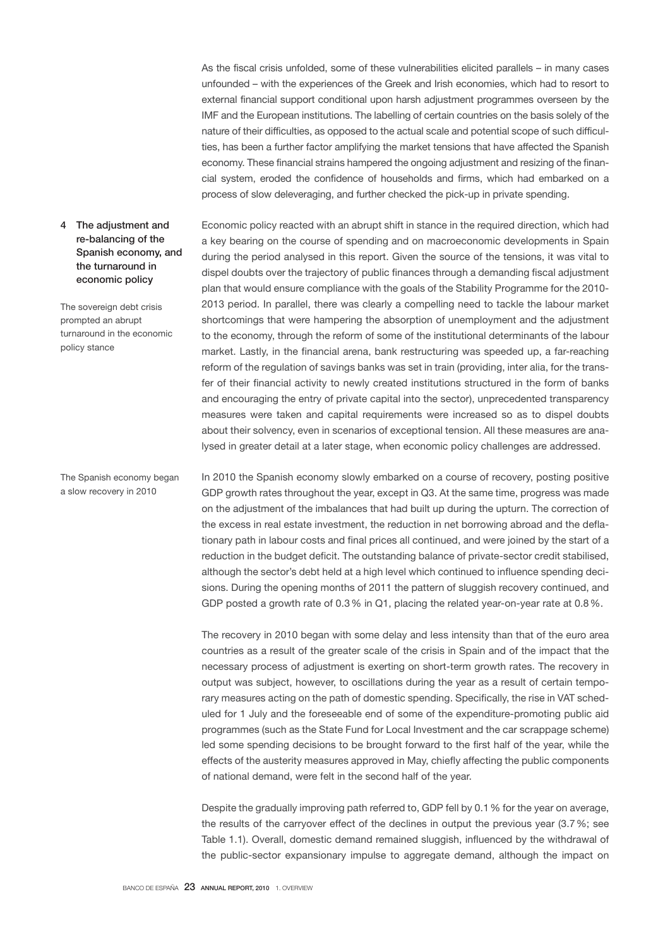As the fiscal crisis unfolded, some of these vulnerabilities elicited parallels – in many cases unfounded – with the experiences of the Greek and Irish economies, which had to resort to external financial support conditional upon harsh adjustment programmes overseen by the IMF and the European institutions. The labelling of certain countries on the basis solely of the nature of their difficulties, as opposed to the actual scale and potential scope of such difficulties, has been a further factor amplifying the market tensions that have affected the Spanish economy. These financial strains hampered the ongoing adjustment and resizing of the financial system, eroded the confidence of households and firms, which had embarked on a process of slow deleveraging, and further checked the pick-up in private spending.

Economic policy reacted with an abrupt shift in stance in the required direction, which had a key bearing on the course of spending and on macroeconomic developments in Spain during the period analysed in this report. Given the source of the tensions, it was vital to

# 4 The adjustment and re-balancing of the Spanish economy, and the turnaround in economic policy

The sovereign debt crisis prompted an abrupt turnaround in the economic policy stance

dispel doubts over the trajectory of public finances through a demanding fiscal adjustment plan that would ensure compliance with the goals of the Stability Programme for the 2010- 2013 period. In parallel, there was clearly a compelling need to tackle the labour market shortcomings that were hampering the absorption of unemployment and the adjustment to the economy, through the reform of some of the institutional determinants of the labour market. Lastly, in the financial arena, bank restructuring was speeded up, a far-reaching reform of the regulation of savings banks was set in train (providing, inter alia, for the transfer of their financial activity to newly created institutions structured in the form of banks and encouraging the entry of private capital into the sector), unprecedented transparency measures were taken and capital requirements were increased so as to dispel doubts about their solvency, even in scenarios of exceptional tension. All these measures are analysed in greater detail at a later stage, when economic policy challenges are addressed.

In 2010 the Spanish economy slowly embarked on a course of recovery, posting positive GDP growth rates throughout the year, except in Q3. At the same time, progress was made on the adjustment of the imbalances that had built up during the upturn. The correction of the excess in real estate investment, the reduction in net borrowing abroad and the deflationary path in labour costs and final prices all continued, and were joined by the start of a reduction in the budget deficit. The outstanding balance of private-sector credit stabilised, although the sector's debt held at a high level which continued to influence spending decisions. During the opening months of 2011 the pattern of sluggish recovery continued, and GDP posted a growth rate of 0.3 % in Q1, placing the related year-on-year rate at 0.8 %.

The recovery in 2010 began with some delay and less intensity than that of the euro area countries as a result of the greater scale of the crisis in Spain and of the impact that the necessary process of adjustment is exerting on short-term growth rates. The recovery in output was subject, however, to oscillations during the year as a result of certain temporary measures acting on the path of domestic spending. Specifically, the rise in VAT scheduled for 1 July and the foreseeable end of some of the expenditure-promoting public aid programmes (such as the State Fund for Local Investment and the car scrappage scheme) led some spending decisions to be brought forward to the first half of the year, while the effects of the austerity measures approved in May, chiefly affecting the public components of national demand, were felt in the second half of the year.

Despite the gradually improving path referred to, GDP fell by 0.1 % for the year on average, the results of the carryover effect of the declines in output the previous year (3.7 %; see Table 1.1). Overall, domestic demand remained sluggish, influenced by the withdrawal of the public-sector expansionary impulse to aggregate demand, although the impact on

The Spanish economy began a slow recovery in 2010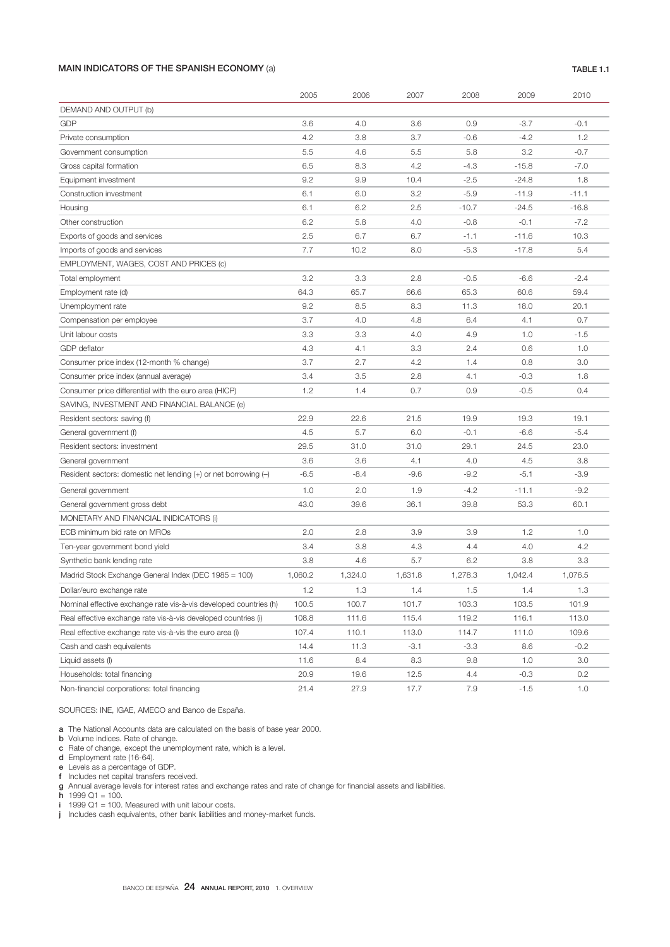# MAIN INDICATORS OF THE SPANISH ECONOMY (a) TABLE 1.1

|                                                                     | 2005    | 2006    | 2007    | 2008    | 2009    | 2010    |  |
|---------------------------------------------------------------------|---------|---------|---------|---------|---------|---------|--|
| DEMAND AND OUTPUT (b)                                               |         |         |         |         |         |         |  |
| <b>GDP</b>                                                          | 3.6     | 4.0     | 3.6     | 0.9     | $-3.7$  | $-0.1$  |  |
| Private consumption                                                 | 4.2     | 3.8     | 3.7     | $-0.6$  | $-4.2$  | 1.2     |  |
| Government consumption                                              | 5.5     | 4.6     | 5.5     | 5.8     | 3.2     | $-0.7$  |  |
| Gross capital formation                                             | 6.5     | 8.3     | 4.2     | $-4.3$  | $-15.8$ | $-7.0$  |  |
| Equipment investment                                                | 9.2     | 9.9     | 10.4    | $-2.5$  | $-24.8$ | 1.8     |  |
| Construction investment                                             | 6.1     | 6.0     | 3.2     | $-5.9$  | $-11.9$ | $-11.1$ |  |
| Housing                                                             | 6.1     | 6.2     | 2.5     | $-10.7$ | $-24.5$ | $-16.8$ |  |
| Other construction                                                  | 6.2     | 5.8     | 4.0     | $-0.8$  | $-0.1$  | $-7.2$  |  |
| Exports of goods and services                                       | 2.5     | 6.7     | 6.7     | $-1.1$  | $-11.6$ | 10.3    |  |
| Imports of goods and services                                       | 7.7     | 10.2    | 8.0     | $-5.3$  | $-17.8$ | 5.4     |  |
| EMPLOYMENT, WAGES, COST AND PRICES (c)                              |         |         |         |         |         |         |  |
| Total employment                                                    | 3.2     | 3.3     | 2.8     | $-0.5$  | $-6.6$  | $-2.4$  |  |
| Employment rate (d)                                                 | 64.3    | 65.7    | 66.6    | 65.3    | 60.6    | 59.4    |  |
| Unemployment rate                                                   | 9.2     | 8.5     | 8.3     | 11.3    | 18.0    | 20.1    |  |
| Compensation per employee                                           | 3.7     | 4.0     | 4.8     | 6.4     | 4.1     | 0.7     |  |
| Unit labour costs                                                   | 3.3     | 3.3     | 4.0     | 4.9     | 1.0     | $-1.5$  |  |
| <b>GDP</b> deflator                                                 | 4.3     | 4.1     | 3.3     | 2.4     | 0.6     | 1.0     |  |
| Consumer price index (12-month % change)                            | 3.7     | 2.7     | 4.2     | 1.4     | 0.8     | 3.0     |  |
| Consumer price index (annual average)                               | 3.4     | 3.5     | 2.8     | 4.1     | $-0.3$  | 1.8     |  |
| Consumer price differential with the euro area (HICP)               | 1.2     | 1.4     | 0.7     | 0.9     | $-0.5$  | 0.4     |  |
| SAVING, INVESTMENT AND FINANCIAL BALANCE (e)                        |         |         |         |         |         |         |  |
| Resident sectors: saving (f)                                        | 22.9    | 22.6    | 21.5    | 19.9    | 19.3    | 19.1    |  |
| General government (f)                                              | 4.5     | 5.7     | 6.0     | $-0.1$  | $-6.6$  | $-5.4$  |  |
| Resident sectors: investment                                        | 29.5    | 31.0    | 31.0    | 29.1    | 24.5    | 23.0    |  |
| General government                                                  | 3.6     | 3.6     | 4.1     | 4.0     | 4.5     | 3.8     |  |
| Resident sectors: domestic net lending $(+)$ or net borrowing $(-)$ | $-6.5$  | $-8.4$  | $-9.6$  | $-9.2$  | $-5.1$  | $-3.9$  |  |
| General government                                                  | 1.0     | 2.0     | 1.9     | $-4.2$  | $-11.1$ | $-9.2$  |  |
| General government gross debt                                       | 43.0    | 39.6    | 36.1    | 39.8    | 53.3    | 60.1    |  |
| MONETARY AND FINANCIAL INIDICATORS (i)                              |         |         |         |         |         |         |  |
| ECB minimum bid rate on MROs                                        | 2.0     | 2.8     | 3.9     | 3.9     | 1.2     | 1.0     |  |
| Ten-year government bond yield                                      | 3.4     | 3.8     | 4.3     | 4.4     | 4.0     | 4.2     |  |
| Synthetic bank lending rate                                         | 3.8     | 4.6     | 5.7     | 6.2     | 3.8     | 3.3     |  |
| Madrid Stock Exchange General Index (DEC 1985 = 100)                | 1,060.2 | 1,324.0 | 1,631.8 | 1,278.3 | 1,042.4 | 1,076.5 |  |
| Dollar/euro exchange rate                                           | 1.2     | 1.3     | 1.4     | 1.5     | 1.4     | 1.3     |  |
| Nominal effective exchange rate vis-à-vis developed countries (h)   | 100.5   | 100.7   | 101.7   | 103.3   | 103.5   | 101.9   |  |
| Real effective exchange rate vis-à-vis developed countries (i)      | 108.8   | 111.6   | 115.4   | 119.2   | 116.1   | 113.0   |  |
| Real effective exchange rate vis-à-vis the euro area (i)            | 107.4   | 110.1   | 113.0   | 114.7   | 111.0   | 109.6   |  |
| Cash and cash equivalents                                           | 14.4    | 11.3    | $-3.1$  | $-3.3$  | 8.6     | $-0.2$  |  |
| Liquid assets (I)                                                   | 11.6    | 8.4     | 8.3     | 9.8     | 1.0     | 3.0     |  |
| Households: total financing                                         | 20.9    | 19.6    | 12.5    | 4.4     | $-0.3$  | 0.2     |  |
| Non-financial corporations: total financing                         | 21.4    | 27.9    | 17.7    | 7.9     | $-1.5$  | 1.0     |  |

SOURCES: INE, IGAE, AMECO and Banco de España.

a The National Accounts data are calculated on the basis of base year 2000.

- **b** Volume indices. Rate of change.
- c Rate of change, except the unemployment rate, which is a level.
- d Employment rate (16-64).
- e Levels as a percentage of GDP.
- f Includes net capital transfers received.
- g Annual average levels for interest rates and exchange rates and rate of change for financial assets and liabilities.
- $h$  1999 Q1 = 100.
- i 1999 Q1 = 100. Measured with unit labour costs.
- j Includes cash equivalents, other bank liabilities and money-market funds.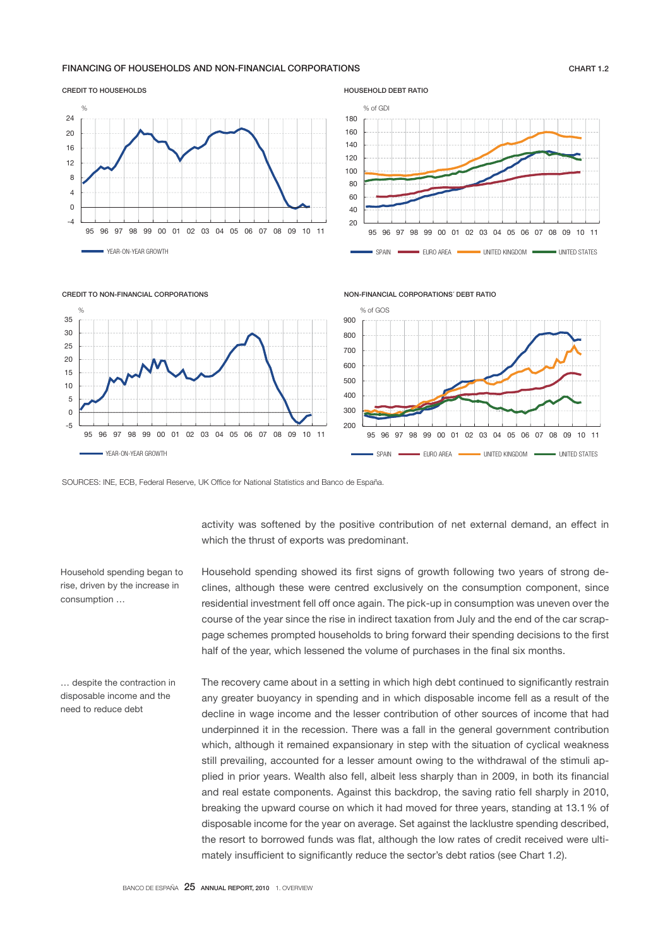#### FINANCING OF HOUSEHOLDS AND NON-FINANCIAL CORPORATIONS FOR THE RESEARCH OF THE RELATED ASSESSMENT ASSESSMENT OF THE RELATED ASSESSMENT OF THE RELATED ASSESSMENT OF THE RELATED ASSESSMENT OF THE RELATIONS OF THE RELATIONS O





HOUSEHOLD DEBT RATIO





CREDIT TO NON-FINANCIAL CORPORATIONS

SOURCES: INE, ECB, Federal Reserve, UK Office for National Statistics and Banco de España.

activity was softened by the positive contribution of net external demand, an effect in which the thrust of exports was predominant.

Household spending began to rise, driven by the increase in consumption …

Household spending showed its first signs of growth following two years of strong declines, although these were centred exclusively on the consumption component, since residential investment fell off once again. The pick-up in consumption was uneven over the course of the year since the rise in indirect taxation from July and the end of the car scrappage schemes prompted households to bring forward their spending decisions to the first half of the year, which lessened the volume of purchases in the final six months.

… despite the contraction in disposable income and the need to reduce debt

The recovery came about in a setting in which high debt continued to significantly restrain any greater buoyancy in spending and in which disposable income fell as a result of the decline in wage income and the lesser contribution of other sources of income that had underpinned it in the recession. There was a fall in the general government contribution which, although it remained expansionary in step with the situation of cyclical weakness still prevailing, accounted for a lesser amount owing to the withdrawal of the stimuli applied in prior years. Wealth also fell, albeit less sharply than in 2009, in both its financial and real estate components. Against this backdrop, the saving ratio fell sharply in 2010, breaking the upward course on which it had moved for three years, standing at 13.1 % of disposable income for the year on average. Set against the lacklustre spending described, the resort to borrowed funds was flat, although the low rates of credit received were ultimately insufficient to significantly reduce the sector's debt ratios (see Chart 1.2).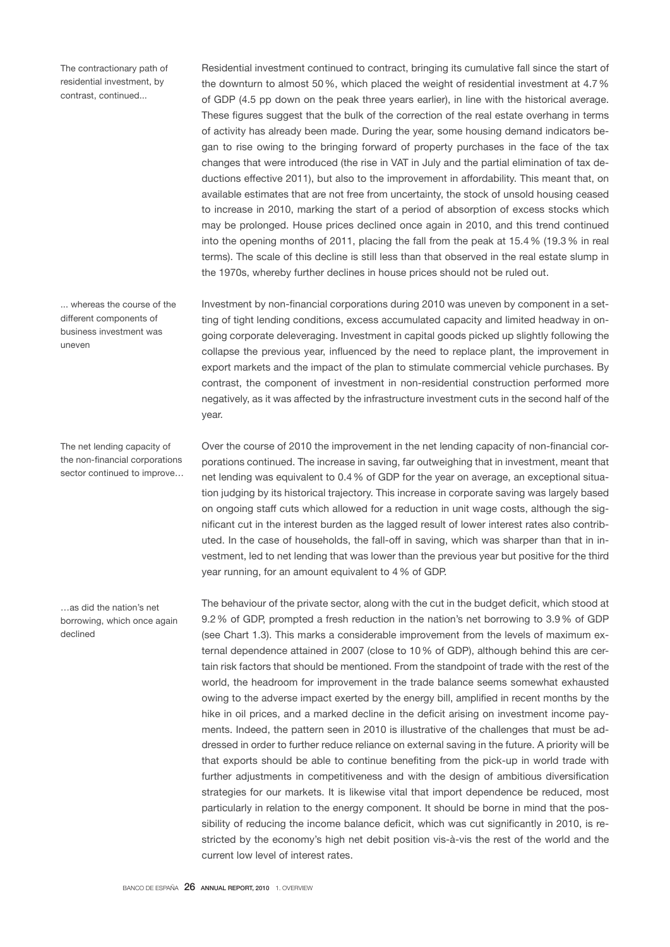The contractionary path of residential investment, by contrast, continued...

... whereas the course of the different components of business investment was uneven

The net lending capacity of the non-financial corporations sector continued to improve…

…as did the nation's net borrowing, which once again declined

Residential investment continued to contract, bringing its cumulative fall since the start of the downturn to almost 50 %, which placed the weight of residential investment at 4.7 % of GDP (4.5 pp down on the peak three years earlier), in line with the historical average. These figures suggest that the bulk of the correction of the real estate overhang in terms of activity has already been made. During the year, some housing demand indicators began to rise owing to the bringing forward of property purchases in the face of the tax changes that were introduced (the rise in VAT in July and the partial elimination of tax deductions effective 2011), but also to the improvement in affordability. This meant that, on available estimates that are not free from uncertainty, the stock of unsold housing ceased to increase in 2010, marking the start of a period of absorption of excess stocks which may be prolonged. House prices declined once again in 2010, and this trend continued into the opening months of 2011, placing the fall from the peak at 15.4 % (19.3 % in real terms). The scale of this decline is still less than that observed in the real estate slump in the 1970s, whereby further declines in house prices should not be ruled out.

Investment by non-financial corporations during 2010 was uneven by component in a setting of tight lending conditions, excess accumulated capacity and limited headway in ongoing corporate deleveraging. Investment in capital goods picked up slightly following the collapse the previous year, influenced by the need to replace plant, the improvement in export markets and the impact of the plan to stimulate commercial vehicle purchases. By contrast, the component of investment in non-residential construction performed more negatively, as it was affected by the infrastructure investment cuts in the second half of the year.

Over the course of 2010 the improvement in the net lending capacity of non-financial corporations continued. The increase in saving, far outweighing that in investment, meant that net lending was equivalent to 0.4 % of GDP for the year on average, an exceptional situation judging by its historical trajectory. This increase in corporate saving was largely based on ongoing staff cuts which allowed for a reduction in unit wage costs, although the significant cut in the interest burden as the lagged result of lower interest rates also contributed. In the case of households, the fall-off in saving, which was sharper than that in investment, led to net lending that was lower than the previous year but positive for the third year running, for an amount equivalent to 4 % of GDP.

The behaviour of the private sector, along with the cut in the budget deficit, which stood at 9.2 % of GDP, prompted a fresh reduction in the nation's net borrowing to 3.9 % of GDP (see Chart 1.3). This marks a considerable improvement from the levels of maximum external dependence attained in 2007 (close to 10 % of GDP), although behind this are certain risk factors that should be mentioned. From the standpoint of trade with the rest of the world, the headroom for improvement in the trade balance seems somewhat exhausted owing to the adverse impact exerted by the energy bill, amplified in recent months by the hike in oil prices, and a marked decline in the deficit arising on investment income payments. Indeed, the pattern seen in 2010 is illustrative of the challenges that must be addressed in order to further reduce reliance on external saving in the future. A priority will be that exports should be able to continue benefiting from the pick-up in world trade with further adjustments in competitiveness and with the design of ambitious diversification strategies for our markets. It is likewise vital that import dependence be reduced, most particularly in relation to the energy component. It should be borne in mind that the possibility of reducing the income balance deficit, which was cut significantly in 2010, is restricted by the economy's high net debit position vis-à-vis the rest of the world and the current low level of interest rates.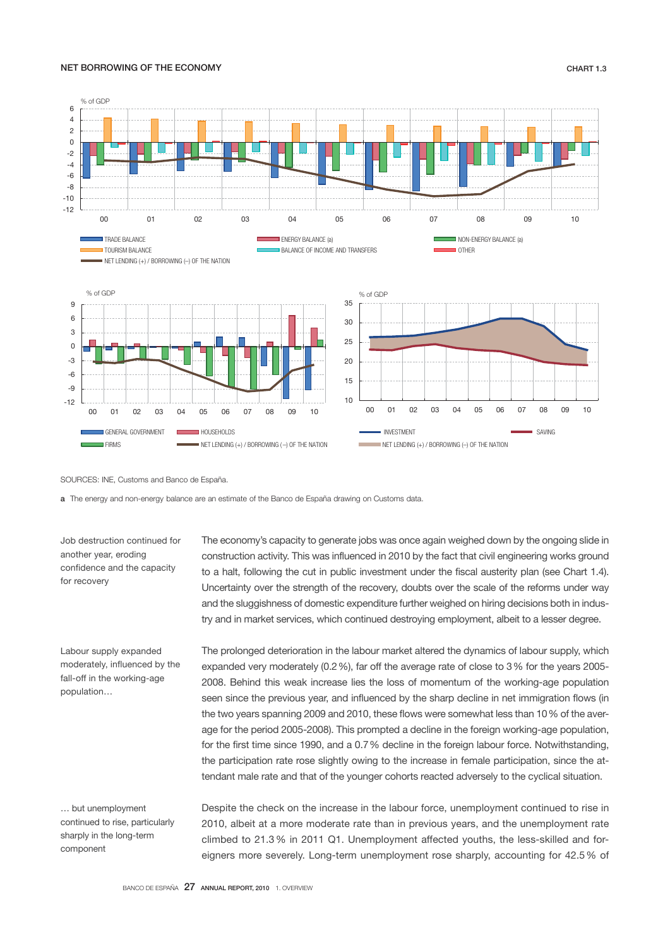# NET BORROWING OF THE ECONOMY **CHART 1.3**



SOURCES: INE, Customs and Banco de España.

a The energy and non-energy balance are an estimate of the Banco de España drawing on Customs data.

Job destruction continued for another year, eroding confidence and the capacity for recovery

Labour supply expanded moderately, influenced by the fall-off in the working-age population…

… but unemployment continued to rise, particularly sharply in the long-term component

The economy's capacity to generate jobs was once again weighed down by the ongoing slide in construction activity. This was influenced in 2010 by the fact that civil engineering works ground to a halt, following the cut in public investment under the fiscal austerity plan (see Chart 1.4). Uncertainty over the strength of the recovery, doubts over the scale of the reforms under way and the sluggishness of domestic expenditure further weighed on hiring decisions both in industry and in market services, which continued destroying employment, albeit to a lesser degree.

The prolonged deterioration in the labour market altered the dynamics of labour supply, which expanded very moderately (0.2 %), far off the average rate of close to 3 % for the years 2005- 2008. Behind this weak increase lies the loss of momentum of the working-age population seen since the previous year, and influenced by the sharp decline in net immigration flows (in the two years spanning 2009 and 2010, these flows were somewhat less than 10 % of the average for the period 2005-2008). This prompted a decline in the foreign working-age population, for the first time since 1990, and a 0.7 % decline in the foreign labour force. Notwithstanding, the participation rate rose slightly owing to the increase in female participation, since the attendant male rate and that of the younger cohorts reacted adversely to the cyclical situation.

Despite the check on the increase in the labour force, unemployment continued to rise in 2010, albeit at a more moderate rate than in previous years, and the unemployment rate climbed to 21.3 % in 2011 Q1. Unemployment affected youths, the less-skilled and foreigners more severely. Long-term unemployment rose sharply, accounting for 42.5 % of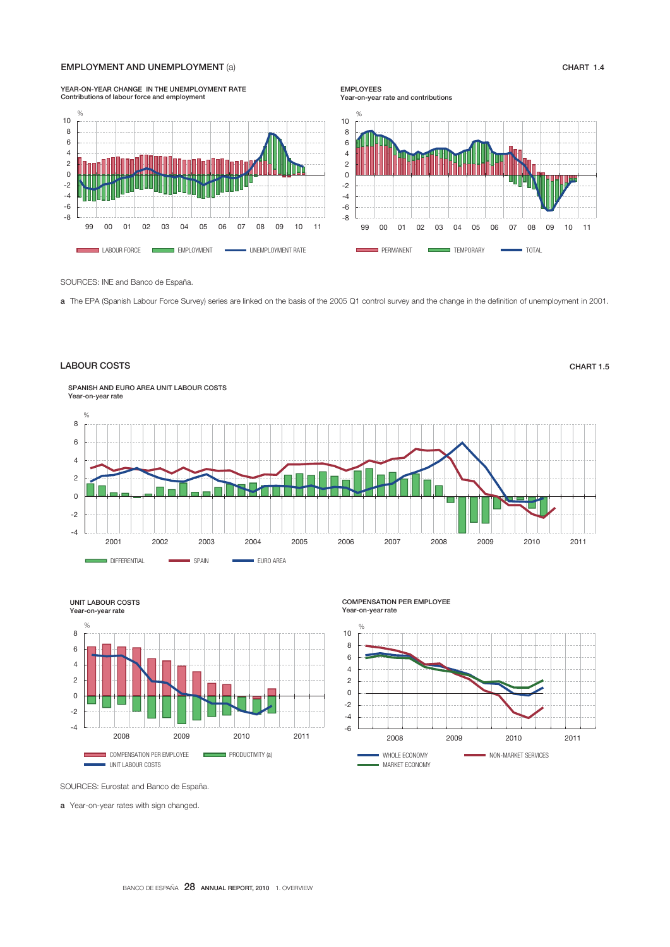#### EMPLOYMENT AND UNEMPLOYMENT (a) CHART 1.4



SOURCES: INE and Banco de España.

a The EPA (Spanish Labour Force Survey) series are linked on the basis of the 2005 Q1 control survey and the change in the definition of unemployment in 2001.

#### LABOUR COSTS CHART 1.5





 COMPENSATION PER EMPLOYEE Year-on-year rate



SOURCES: Eurostat and Banco de España.

a Year-on-year rates with sign changed.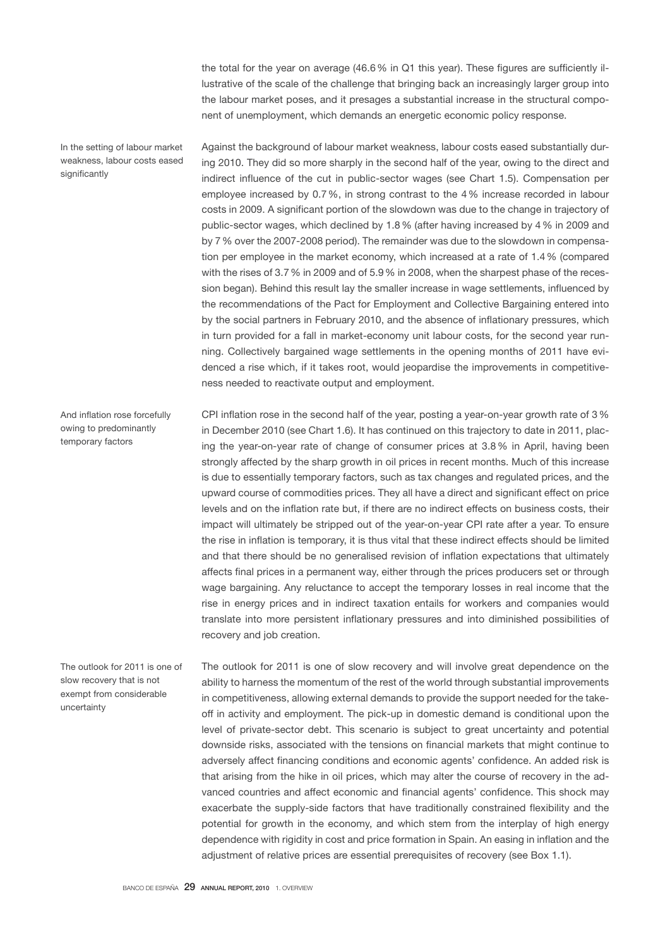the total for the year on average (46.6 % in Q1 this year). These figures are sufficiently illustrative of the scale of the challenge that bringing back an increasingly larger group into the labour market poses, and it presages a substantial increase in the structural component of unemployment, which demands an energetic economic policy response.

In the setting of labour market weakness, labour costs eased significantly

Against the background of labour market weakness, labour costs eased substantially during 2010. They did so more sharply in the second half of the year, owing to the direct and indirect influence of the cut in public-sector wages (see Chart 1.5). Compensation per employee increased by 0.7 %, in strong contrast to the 4 % increase recorded in labour costs in 2009. A significant portion of the slowdown was due to the change in trajectory of public-sector wages, which declined by 1.8 % (after having increased by 4 % in 2009 and by 7 % over the 2007-2008 period). The remainder was due to the slowdown in compensation per employee in the market economy, which increased at a rate of 1.4 % (compared with the rises of 3.7 % in 2009 and of 5.9 % in 2008, when the sharpest phase of the recession began). Behind this result lay the smaller increase in wage settlements, influenced by the recommendations of the Pact for Employment and Collective Bargaining entered into by the social partners in February 2010, and the absence of inflationary pressures, which in turn provided for a fall in market-economy unit labour costs, for the second year running. Collectively bargained wage settlements in the opening months of 2011 have evidenced a rise which, if it takes root, would jeopardise the improvements in competitiveness needed to reactivate output and employment.

CPI inflation rose in the second half of the year, posting a year-on-year growth rate of 3 % in December 2010 (see Chart 1.6). It has continued on this trajectory to date in 2011, placing the year-on-year rate of change of consumer prices at 3.8 % in April, having been strongly affected by the sharp growth in oil prices in recent months. Much of this increase is due to essentially temporary factors, such as tax changes and regulated prices, and the upward course of commodities prices. They all have a direct and significant effect on price levels and on the inflation rate but, if there are no indirect effects on business costs, their impact will ultimately be stripped out of the year-on-year CPI rate after a year. To ensure the rise in inflation is temporary, it is thus vital that these indirect effects should be limited and that there should be no generalised revision of inflation expectations that ultimately affects final prices in a permanent way, either through the prices producers set or through wage bargaining. Any reluctance to accept the temporary losses in real income that the rise in energy prices and in indirect taxation entails for workers and companies would translate into more persistent inflationary pressures and into diminished possibilities of recovery and job creation. And inflation rose forcefully

The outlook for 2011 is one of slow recovery that is not exempt from considerable uncertainty

owing to predominantly temporary factors

> The outlook for 2011 is one of slow recovery and will involve great dependence on the ability to harness the momentum of the rest of the world through substantial improvements in competitiveness, allowing external demands to provide the support needed for the takeoff in activity and employment. The pick-up in domestic demand is conditional upon the level of private-sector debt. This scenario is subject to great uncertainty and potential downside risks, associated with the tensions on financial markets that might continue to adversely affect financing conditions and economic agents' confidence. An added risk is that arising from the hike in oil prices, which may alter the course of recovery in the advanced countries and affect economic and financial agents' confidence. This shock may exacerbate the supply-side factors that have traditionally constrained flexibility and the potential for growth in the economy, and which stem from the interplay of high energy dependence with rigidity in cost and price formation in Spain. An easing in inflation and the adjustment of relative prices are essential prerequisites of recovery (see Box 1.1).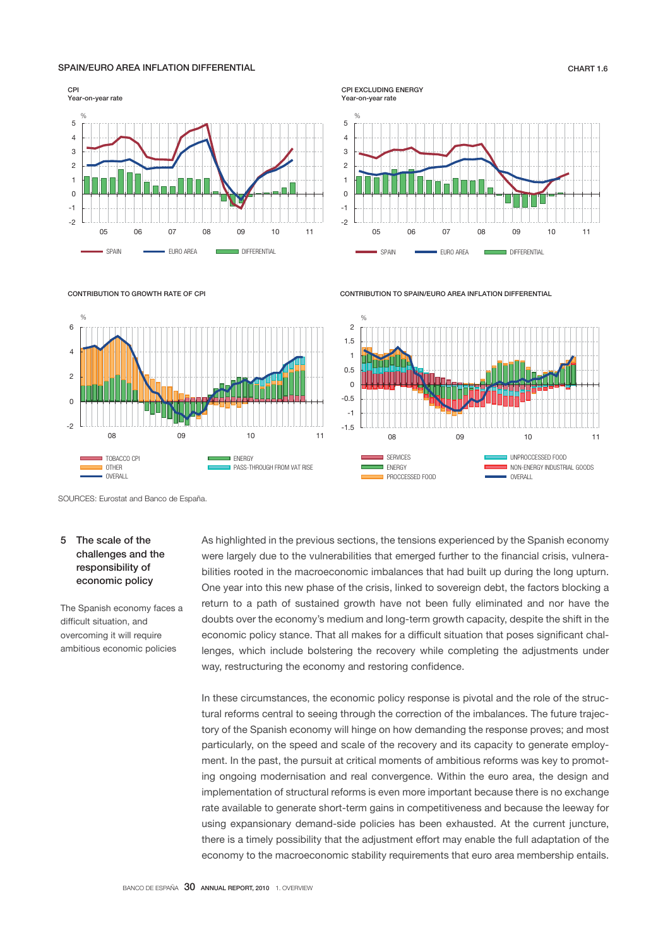## SPAIN/EURO AREA INFLATION DIFFERENTIAL CHART 1.6



CPI EXCLUDING ENERGY Year-on-year rate



CONTRIBUTION TO SPAIN/EURO AREA INFLATION DIFFERENTIAL



CONTRIBUTION TO GROWTH RATE OF CPI



SOURCES: Eurostat and Banco de España.

# 5 The scale of the challenges and the responsibility of economic policy

The Spanish economy faces a difficult situation, and overcoming it will require ambitious economic policies

As highlighted in the previous sections, the tensions experienced by the Spanish economy were largely due to the vulnerabilities that emerged further to the financial crisis, vulnerabilities rooted in the macroeconomic imbalances that had built up during the long upturn. One year into this new phase of the crisis, linked to sovereign debt, the factors blocking a return to a path of sustained growth have not been fully eliminated and nor have the doubts over the economy's medium and long-term growth capacity, despite the shift in the economic policy stance. That all makes for a difficult situation that poses significant challenges, which include bolstering the recovery while completing the adjustments under way, restructuring the economy and restoring confidence.

In these circumstances, the economic policy response is pivotal and the role of the structural reforms central to seeing through the correction of the imbalances. The future trajectory of the Spanish economy will hinge on how demanding the response proves; and most particularly, on the speed and scale of the recovery and its capacity to generate employment. In the past, the pursuit at critical moments of ambitious reforms was key to promoting ongoing modernisation and real convergence. Within the euro area, the design and implementation of structural reforms is even more important because there is no exchange rate available to generate short-term gains in competitiveness and because the leeway for using expansionary demand-side policies has been exhausted. At the current juncture, there is a timely possibility that the adjustment effort may enable the full adaptation of the economy to the macroeconomic stability requirements that euro area membership entails.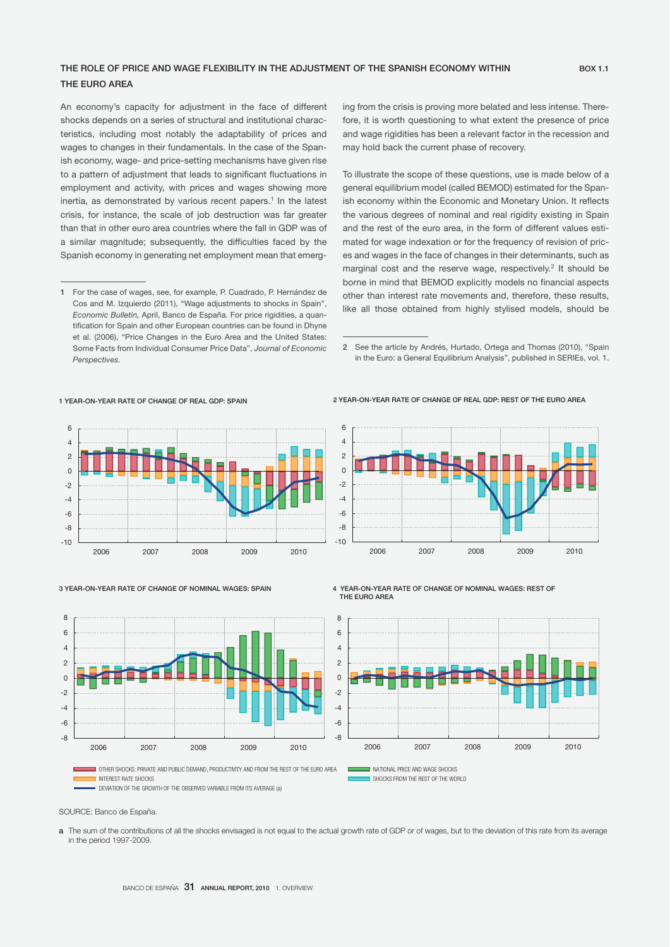# THE ROLE OF PRICE AND WAGE FLEXIBILITY IN THE ADJUSTMENT OF THE SPANISH ECONOMY WITHIN BOX 1.1 THE EURO AREA

An economy's capacity for adjustment in the face of different shocks depends on a series of structural and institutional characteristics, including most notably the adaptability of prices and wages to changes in their fundamentals. In the case of the Spanish economy, wage- and price-setting mechanisms have given rise to a pattern of adjustment that leads to significant fluctuations in employment and activity, with prices and wages showing more inertia, as demonstrated by various recent papers.<sup>1</sup> In the latest crisis, for instance, the scale of job destruction was far greater than that in other euro area countries where the fall in GDP was of a similar magnitude; subsequently, the difficulties faced by the Spanish economy in generating net employment mean that emerging from the crisis is proving more belated and less intense. Therefore, it is worth questioning to what extent the presence of price and wage rigidities has been a relevant factor in the recession and may hold back the current phase of recovery.

To illustrate the scope of these questions, use is made below of a general equilibrium model (called BEMOD) estimated for the Spanish economy within the Economic and Monetary Union. It reflects the various degrees of nominal and real rigidity existing in Spain and the rest of the euro area, in the form of different values estimated for wage indexation or for the frequency of revision of prices and wages in the face of changes in their determinants, such as marginal cost and the reserve wage, respectively.<sup>2</sup> It should be borne in mind that BEMOD explicitly models no financial aspects other than interest rate movements and, therefore, these results, like all those obtained from highly stylised models, should be

2 See the article by Andrés, Hurtado, Ortega and Thomas (2010), "Spain in the Euro: a General Equilibrium Analysis", published in SERIEs, vol. 1.

2 YEAR-ON-YEAR RATE OF CHANGE OF REAL GDP: REST OF THE EURO AREA

#### 1 YEAR-ON-YEAR RATE OF CHANGE OF REAL GDP: SPAIN



#### 3 YEAR-ON-YEAR RATE OF CHANGE OF NOMINAL WAGES: SPAIN



4 YEAR-ON-YEAR RATE OF CHANGE OF NOMINAL WAGES: REST OF THE EURO AREA



2006 2007 2008 2009 2010

Ĩ

OTHER SHOCKS: PRIVATE AND PUBLIC DEMAND, PRODUCTIVITY AND FROM THE REST OF THE EURO AREA NATIONAL PRICE AND WAGE SHOCKS<br>ON INTERFECT BATE SHOCKS

DEVIATION OF THE GROWTH OF THE OBSERVED VARIABLE FROM ITS AVERAGE (a)

IN SHOCKS FROM THE REST OF THE WORLD

SOURCE: Banco de España.

a The sum of the contributions of all the shocks envisaged is not equal to the actual growth rate of GDP or of wages, but to the deviation of this rate from its average in the period 1997-2009.

í

<sup>1</sup> For the case of wages, see, for example, P. Cuadrado, P. Hernández de Cos and M. Izquierdo (2011), "Wage adjustments to shocks in Spain", *Economic Bulletin,* April, Banco de España. For price rigidities, a quantification for Spain and other European countries can be found in Dhyne et al. (2006), "Price Changes in the Euro Area and the United States: Some Facts from Individual Consumer Price Data", *Journal of Economic Perspectives.*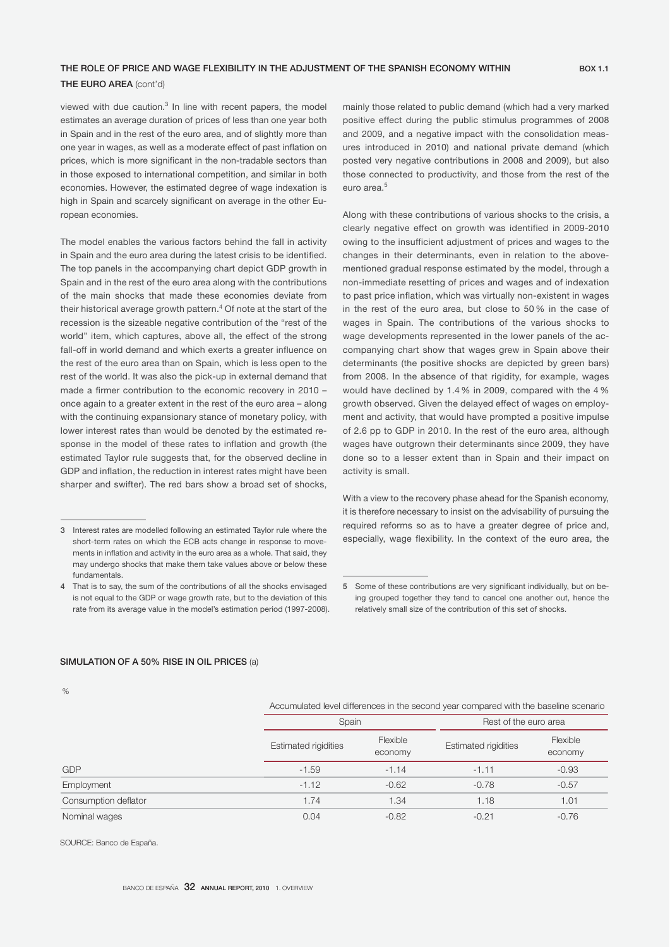# THE ROLE OF PRICE AND WAGE FLEXIBILITY IN THE ADJUSTMENT OF THE SPANISH ECONOMY WITHIN BOX 1.1

# THE EURO AREA (cont'd)

viewed with due caution.<sup>3</sup> In line with recent papers, the model estimates an average duration of prices of less than one year both in Spain and in the rest of the euro area, and of slightly more than one year in wages, as well as a moderate effect of past inflation on prices, which is more significant in the non-tradable sectors than in those exposed to international competition, and similar in both economies. However, the estimated degree of wage indexation is high in Spain and scarcely significant on average in the other European economies.

The model enables the various factors behind the fall in activity in Spain and the euro area during the latest crisis to be identified. The top panels in the accompanying chart depict GDP growth in Spain and in the rest of the euro area along with the contributions of the main shocks that made these economies deviate from their historical average growth pattern.<sup>4</sup> Of note at the start of the recession is the sizeable negative contribution of the "rest of the world" item, which captures, above all, the effect of the strong fall-off in world demand and which exerts a greater influence on the rest of the euro area than on Spain, which is less open to the rest of the world. It was also the pick-up in external demand that made a firmer contribution to the economic recovery in 2010 – once again to a greater extent in the rest of the euro area – along with the continuing expansionary stance of monetary policy, with lower interest rates than would be denoted by the estimated response in the model of these rates to inflation and growth (the estimated Taylor rule suggests that, for the observed decline in GDP and inflation, the reduction in interest rates might have been sharper and swifter). The red bars show a broad set of shocks,

mainly those related to public demand (which had a very marked positive effect during the public stimulus programmes of 2008 and 2009, and a negative impact with the consolidation measures introduced in 2010) and national private demand (which posted very negative contributions in 2008 and 2009), but also those connected to productivity, and those from the rest of the euro area.<sup>5</sup>

Along with these contributions of various shocks to the crisis, a clearly negative effect on growth was identified in 2009-2010 owing to the insufficient adjustment of prices and wages to the changes in their determinants, even in relation to the abovementioned gradual response estimated by the model, through a non-immediate resetting of prices and wages and of indexation to past price inflation, which was virtually non-existent in wages in the rest of the euro area, but close to 50 % in the case of wages in Spain. The contributions of the various shocks to wage developments represented in the lower panels of the accompanying chart show that wages grew in Spain above their determinants (the positive shocks are depicted by green bars) from 2008. In the absence of that rigidity, for example, wages would have declined by 1.4 % in 2009, compared with the 4 % growth observed. Given the delayed effect of wages on employment and activity, that would have prompted a positive impulse of 2.6 pp to GDP in 2010. In the rest of the euro area, although wages have outgrown their determinants since 2009, they have done so to a lesser extent than in Spain and their impact on activity is small.

With a view to the recovery phase ahead for the Spanish economy, it is therefore necessary to insist on the advisability of pursuing the required reforms so as to have a greater degree of price and, especially, wage flexibility. In the context of the euro area, the

#### SIMULATION OF A 50% RISE IN OIL PRICES (a)

 $\frac{9}{6}$ 

| Accumulated level differences in the second year compared with the baseline scenario |  |
|--------------------------------------------------------------------------------------|--|
|--------------------------------------------------------------------------------------|--|

|                      | Spain                       |                     | Rest of the euro area       |                     |  |
|----------------------|-----------------------------|---------------------|-----------------------------|---------------------|--|
|                      | <b>Estimated rigidities</b> | Flexible<br>economy | <b>Estimated rigidities</b> | Flexible<br>economy |  |
| <b>GDP</b>           | $-1.59$                     | $-1.14$             | $-1.11$                     | $-0.93$             |  |
| Employment           | $-1.12$                     | $-0.62$             | $-0.78$                     | $-0.57$             |  |
| Consumption deflator | 1.74                        | 1.34                | 1.18                        | 1.01                |  |
| Nominal wages        | 0.04                        | $-0.82$             | $-0.21$                     | $-0.76$             |  |

SOURCE: Banco de España.

<sup>3</sup> Interest rates are modelled following an estimated Taylor rule where the short-term rates on which the ECB acts change in response to movements in inflation and activity in the euro area as a whole. That said, they may undergo shocks that make them take values above or below these fundamentals.

<sup>4</sup> That is to say, the sum of the contributions of all the shocks envisaged is not equal to the GDP or wage growth rate, but to the deviation of this rate from its average value in the model's estimation period (1997-2008).

<sup>5</sup> Some of these contributions are very significant individually, but on being grouped together they tend to cancel one another out, hence the relatively small size of the contribution of this set of shocks.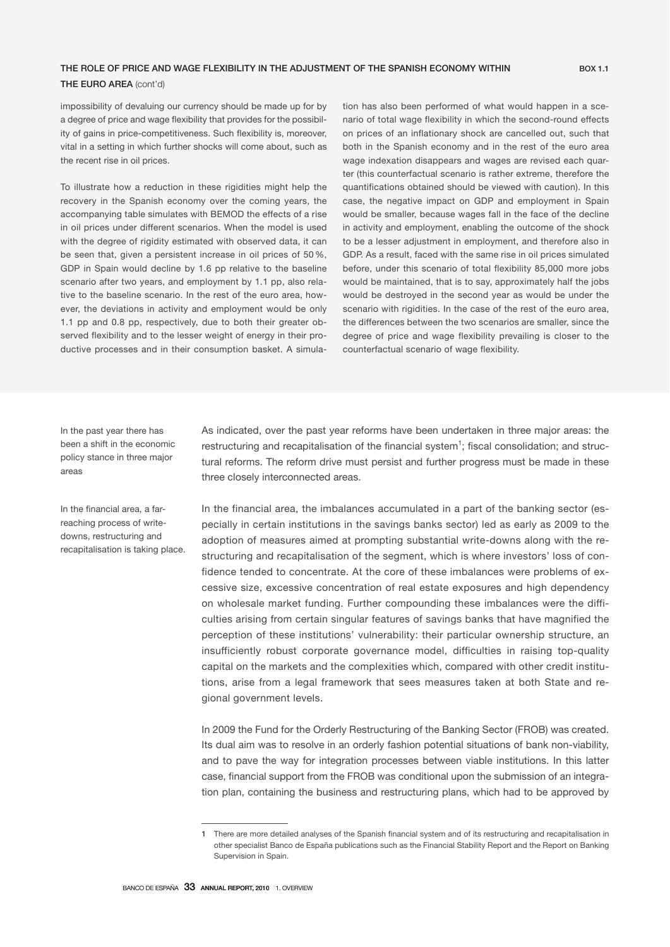# THE ROLE OF PRICE AND WAGE FLEXIBILITY IN THE ADJUSTMENT OF THE SPANISH ECONOMY WITHIN BOX 1.1

# THE EURO AREA (cont'd)

impossibility of devaluing our currency should be made up for by a degree of price and wage flexibility that provides for the possibility of gains in price-competitiveness. Such flexibility is, moreover, vital in a setting in which further shocks will come about, such as the recent rise in oil prices.

To illustrate how a reduction in these rigidities might help the recovery in the Spanish economy over the coming years, the accompanying table simulates with BEMOD the effects of a rise in oil prices under different scenarios. When the model is used with the degree of rigidity estimated with observed data, it can be seen that, given a persistent increase in oil prices of 50 %, GDP in Spain would decline by 1.6 pp relative to the baseline scenario after two years, and employment by 1.1 pp, also relative to the baseline scenario. In the rest of the euro area, however, the deviations in activity and employment would be only 1.1 pp and 0.8 pp, respectively, due to both their greater observed flexibility and to the lesser weight of energy in their productive processes and in their consumption basket. A simulation has also been performed of what would happen in a scenario of total wage flexibility in which the second-round effects on prices of an inflationary shock are cancelled out, such that both in the Spanish economy and in the rest of the euro area wage indexation disappears and wages are revised each quarter (this counterfactual scenario is rather extreme, therefore the quantifications obtained should be viewed with caution). In this case, the negative impact on GDP and employment in Spain would be smaller, because wages fall in the face of the decline in activity and employment, enabling the outcome of the shock to be a lesser adjustment in employment, and therefore also in GDP. As a result, faced with the same rise in oil prices simulated before, under this scenario of total flexibility 85,000 more jobs would be maintained, that is to say, approximately half the jobs would be destroyed in the second year as would be under the scenario with rigidities. In the case of the rest of the euro area, the differences between the two scenarios are smaller, since the degree of price and wage flexibility prevailing is closer to the counterfactual scenario of wage flexibility.

In the past year there has been a shift in the economic policy stance in three major areas

In the financial area, a farreaching process of writedowns, restructuring and recapitalisation is taking place. As indicated, over the past year reforms have been undertaken in three major areas: the restructuring and recapitalisation of the financial system<sup>1</sup>; fiscal consolidation; and structural reforms. The reform drive must persist and further progress must be made in these three closely interconnected areas.

In the financial area, the imbalances accumulated in a part of the banking sector (especially in certain institutions in the savings banks sector) led as early as 2009 to the adoption of measures aimed at prompting substantial write-downs along with the restructuring and recapitalisation of the segment, which is where investors' loss of confidence tended to concentrate. At the core of these imbalances were problems of excessive size, excessive concentration of real estate exposures and high dependency on wholesale market funding. Further compounding these imbalances were the difficulties arising from certain singular features of savings banks that have magnified the perception of these institutions' vulnerability: their particular ownership structure, an insufficiently robust corporate governance model, difficulties in raising top-quality capital on the markets and the complexities which, compared with other credit institutions, arise from a legal framework that sees measures taken at both State and regional government levels.

In 2009 the Fund for the Orderly Restructuring of the Banking Sector (FROB) was created. Its dual aim was to resolve in an orderly fashion potential situations of bank non-viability, and to pave the way for integration processes between viable institutions. In this latter case, financial support from the FROB was conditional upon the submission of an integration plan, containing the business and restructuring plans, which had to be approved by

<sup>1</sup> There are more detailed analyses of the Spanish financial system and of its restructuring and recapitalisation in other specialist Banco de España publications such as the Financial Stability Report and the Report on Banking Supervision in Spain.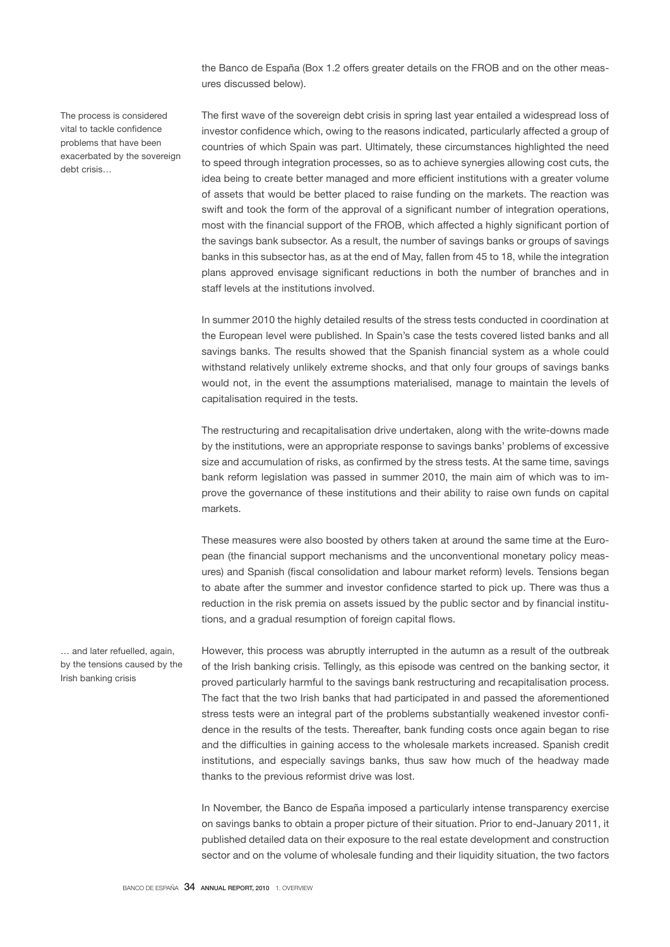the Banco de España (Box 1.2 offers greater details on the FROB and on the other measures discussed below).

The process is considered vital to tackle confidence problems that have been exacerbated by the sovereign debt crisis…

The first wave of the sovereign debt crisis in spring last year entailed a widespread loss of investor confidence which, owing to the reasons indicated, particularly affected a group of countries of which Spain was part. Ultimately, these circumstances highlighted the need to speed through integration processes, so as to achieve synergies allowing cost cuts, the idea being to create better managed and more efficient institutions with a greater volume of assets that would be better placed to raise funding on the markets. The reaction was swift and took the form of the approval of a significant number of integration operations, most with the financial support of the FROB, which affected a highly significant portion of the savings bank subsector. As a result, the number of savings banks or groups of savings banks in this subsector has, as at the end of May, fallen from 45 to 18, while the integration plans approved envisage significant reductions in both the number of branches and in staff levels at the institutions involved.

In summer 2010 the highly detailed results of the stress tests conducted in coordination at the European level were published. In Spain's case the tests covered listed banks and all savings banks. The results showed that the Spanish financial system as a whole could withstand relatively unlikely extreme shocks, and that only four groups of savings banks would not, in the event the assumptions materialised, manage to maintain the levels of capitalisation required in the tests.

The restructuring and recapitalisation drive undertaken, along with the write-downs made by the institutions, were an appropriate response to savings banks' problems of excessive size and accumulation of risks, as confirmed by the stress tests. At the same time, savings bank reform legislation was passed in summer 2010, the main aim of which was to improve the governance of these institutions and their ability to raise own funds on capital markets.

These measures were also boosted by others taken at around the same time at the European (the financial support mechanisms and the unconventional monetary policy measures) and Spanish (fiscal consolidation and labour market reform) levels. Tensions began to abate after the summer and investor confidence started to pick up. There was thus a reduction in the risk premia on assets issued by the public sector and by financial institutions, and a gradual resumption of foreign capital flows.

… and later refuelled, again, by the tensions caused by the Irish banking crisis

However, this process was abruptly interrupted in the autumn as a result of the outbreak of the Irish banking crisis. Tellingly, as this episode was centred on the banking sector, it proved particularly harmful to the savings bank restructuring and recapitalisation process. The fact that the two Irish banks that had participated in and passed the aforementioned stress tests were an integral part of the problems substantially weakened investor confidence in the results of the tests. Thereafter, bank funding costs once again began to rise and the difficulties in gaining access to the wholesale markets increased. Spanish credit institutions, and especially savings banks, thus saw how much of the headway made thanks to the previous reformist drive was lost.

In November, the Banco de España imposed a particularly intense transparency exercise on savings banks to obtain a proper picture of their situation. Prior to end-January 2011, it published detailed data on their exposure to the real estate development and construction sector and on the volume of wholesale funding and their liquidity situation, the two factors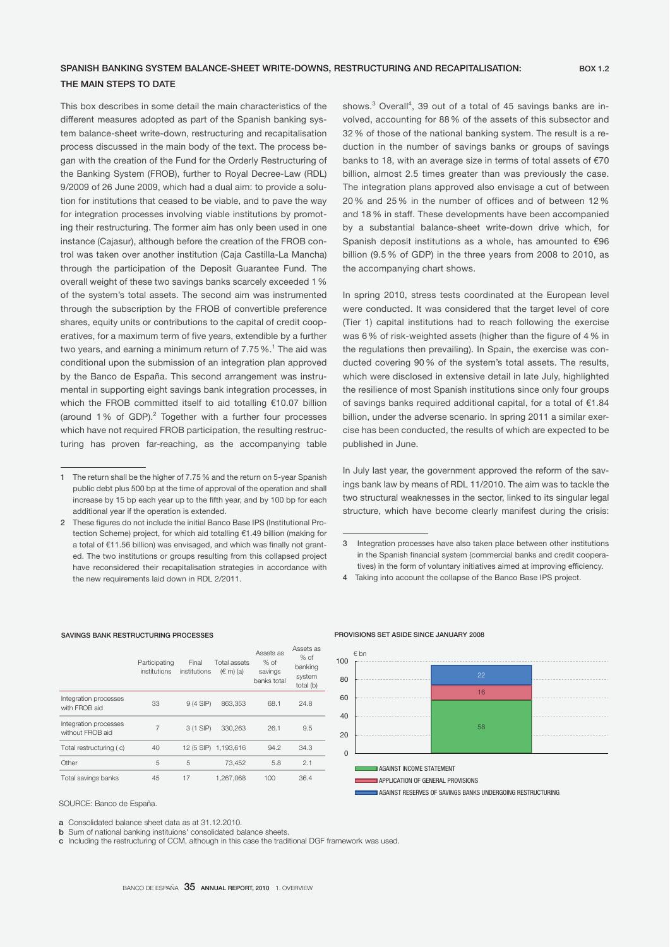# SPANISH BANKING SYSTEM BALANCE-SHEET WRITE-DOWNS, RESTRUCTURING AND RECAPITALISATION: BOX 1.2 THE MAIN STEPS TO DATE

This box describes in some detail the main characteristics of the different measures adopted as part of the Spanish banking system balance-sheet write-down, restructuring and recapitalisation process discussed in the main body of the text. The process began with the creation of the Fund for the Orderly Restructuring of the Banking System (FROB), further to Royal Decree-Law (RDL) 9/2009 of 26 June 2009, which had a dual aim: to provide a solution for institutions that ceased to be viable, and to pave the way for integration processes involving viable institutions by promoting their restructuring. The former aim has only been used in one instance (Cajasur), although before the creation of the FROB control was taken over another institution (Caja Castilla-La Mancha) through the participation of the Deposit Guarantee Fund. The overall weight of these two savings banks scarcely exceeded 1 % of the system's total assets. The second aim was instrumented through the subscription by the FROB of convertible preference shares, equity units or contributions to the capital of credit cooperatives, for a maximum term of five years, extendible by a further two years, and earning a minimum return of 7.75 %.<sup>1</sup> The aid was conditional upon the submission of an integration plan approved by the Banco de España. This second arrangement was instrumental in supporting eight savings bank integration processes, in which the FROB committed itself to aid totalling €10.07 billion (around 1% of GDP).<sup>2</sup> Together with a further four processes which have not required FROB participation, the resulting restructuring has proven far-reaching, as the accompanying table

shows.<sup>3</sup> Overall<sup>4</sup>, 39 out of a total of 45 savings banks are involved, accounting for 88 % of the assets of this subsector and 32 % of those of the national banking system. The result is a reduction in the number of savings banks or groups of savings banks to 18, with an average size in terms of total assets of €70 billion, almost 2.5 times greater than was previously the case. The integration plans approved also envisage a cut of between 20 % and 25 % in the number of offices and of between 12 % and 18 % in staff. These developments have been accompanied by a substantial balance-sheet write-down drive which, for Spanish deposit institutions as a whole, has amounted to €96 billion (9.5 % of GDP) in the three years from 2008 to 2010, as the accompanying chart shows.

In spring 2010, stress tests coordinated at the European level were conducted. It was considered that the target level of core (Tier 1) capital institutions had to reach following the exercise was 6 % of risk-weighted assets (higher than the figure of 4 % in the regulations then prevailing). In Spain, the exercise was conducted covering 90 % of the system's total assets. The results, which were disclosed in extensive detail in late July, highlighted the resilience of most Spanish institutions since only four groups of savings banks required additional capital, for a total of €1.84 billion, under the adverse scenario. In spring 2011 a similar exercise has been conducted, the results of which are expected to be published in June.

In July last year, the government approved the reform of the savings bank law by means of RDL 11/2010. The aim was to tackle the two structural weaknesses in the sector, linked to its singular legal structure, which have become clearly manifest during the crisis:

#### SAVINGS BANK RESTRUCTURING PROCESSES

|                                           | Participating<br>institutions | Final<br>institutions | Total assets<br>$(\in$ m) (a) | Assets as<br>$%$ of<br>savings<br>banks total | Assets as<br>$%$ of<br>banking<br>system<br>total (b) |
|-------------------------------------------|-------------------------------|-----------------------|-------------------------------|-----------------------------------------------|-------------------------------------------------------|
| Integration processes<br>with FROB aid    | 33                            | $9(4$ SIP)            | 863.353                       | 68.1                                          | 24.8                                                  |
| Integration processes<br>without FROB aid | 7                             | 3 (1 SIP)             | 330.263                       | 26.1                                          | 9.5                                                   |
| Total restructuring (c)                   | 40                            | 12 (5 SIP)            | 1.193.616                     | 94.2                                          | 34.3                                                  |
| Other                                     | 5                             | 5                     | 73.452                        | 5.8                                           | 2.1                                                   |
| Total savings banks                       | 45                            | 17                    | 1.267.068                     | 100                                           | 36.4                                                  |

#### SOURCE: Banco de España.

a Consolidated balance sheet data as at 31.12.2010.

c Including the restructuring of CCM, although in this case the traditional DGF framework was used.

# PROVISIONS SET ASIDE SINCE JANUARY 2008



<sup>1</sup> The return shall be the higher of 7.75 % and the return on 5-year Spanish public debt plus 500 bp at the time of approval of the operation and shall increase by 15 bp each year up to the fifth year, and by 100 bp for each additional year if the operation is extended.

<sup>2</sup> These figures do not include the initial Banco Base IPS (Institutional Protection Scheme) project, for which aid totalling €1.49 billion (making for a total of €11.56 billion) was envisaged, and which was finally not granted. The two institutions or groups resulting from this collapsed project have reconsidered their recapitalisation strategies in accordance with the new requirements laid down in RDL 2/2011.

<sup>3</sup> Integration processes have also taken place between other institutions in the Spanish financial system (commercial banks and credit cooperatives) in the form of voluntary initiatives aimed at improving efficiency.

<sup>4</sup> Taking into account the collapse of the Banco Base IPS project.

**b** Sum of national banking instituions' consolidated balance sheets.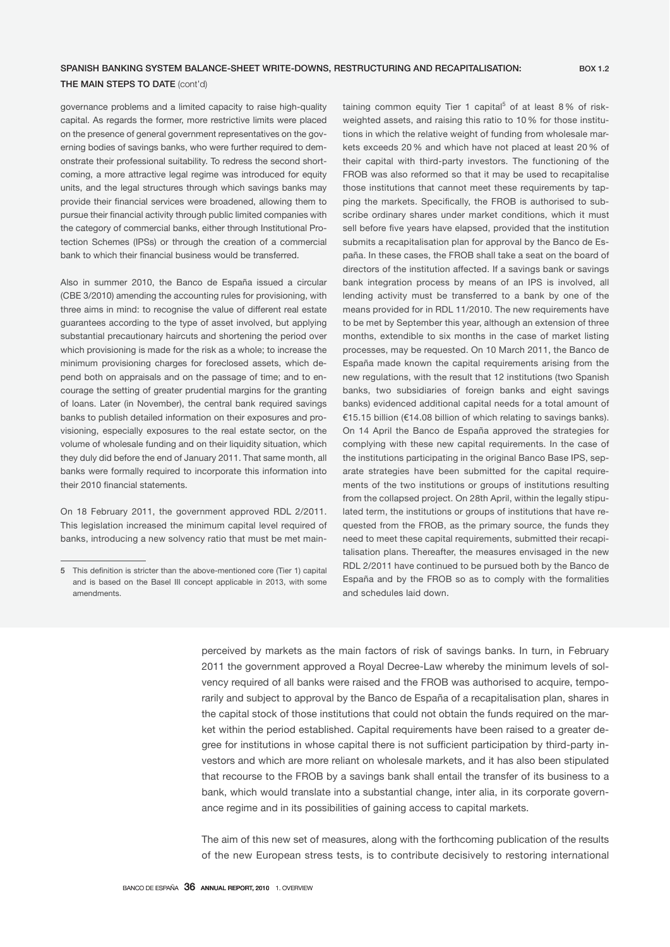## SPANISH BANKING SYSTEM BALANCE-SHEET WRITE-DOWNS, RESTRUCTURING AND RECAPITALISATION:

# THE MAIN STEPS TO DATE (cont'd)

governance problems and a limited capacity to raise high-quality capital. As regards the former, more restrictive limits were placed on the presence of general government representatives on the governing bodies of savings banks, who were further required to demonstrate their professional suitability. To redress the second shortcoming, a more attractive legal regime was introduced for equity units, and the legal structures through which savings banks may provide their financial services were broadened, allowing them to pursue their financial activity through public limited companies with the category of commercial banks, either through Institutional Protection Schemes (IPSs) or through the creation of a commercial bank to which their financial business would be transferred.

Also in summer 2010, the Banco de España issued a circular (CBE 3/2010) amending the accounting rules for provisioning, with three aims in mind: to recognise the value of different real estate guarantees according to the type of asset involved, but applying substantial precautionary haircuts and shortening the period over which provisioning is made for the risk as a whole; to increase the minimum provisioning charges for foreclosed assets, which depend both on appraisals and on the passage of time; and to encourage the setting of greater prudential margins for the granting of loans. Later (in November), the central bank required savings banks to publish detailed information on their exposures and provisioning, especially exposures to the real estate sector, on the volume of wholesale funding and on their liquidity situation, which they duly did before the end of January 2011. That same month, all banks were formally required to incorporate this information into their 2010 financial statements.

On 18 February 2011, the government approved RDL 2/2011. This legislation increased the minimum capital level required of banks, introducing a new solvency ratio that must be met main-

taining common equity Tier 1 capital<sup>5</sup> of at least 8% of riskweighted assets, and raising this ratio to 10 % for those institutions in which the relative weight of funding from wholesale markets exceeds 20 % and which have not placed at least 20 % of their capital with third-party investors. The functioning of the FROB was also reformed so that it may be used to recapitalise those institutions that cannot meet these requirements by tapping the markets. Specifically, the FROB is authorised to subscribe ordinary shares under market conditions, which it must sell before five years have elapsed, provided that the institution submits a recapitalisation plan for approval by the Banco de España. In these cases, the FROB shall take a seat on the board of directors of the institution affected. If a savings bank or savings bank integration process by means of an IPS is involved, all lending activity must be transferred to a bank by one of the means provided for in RDL 11/2010. The new requirements have to be met by September this year, although an extension of three months, extendible to six months in the case of market listing processes, may be requested. On 10 March 2011, the Banco de España made known the capital requirements arising from the new regulations, with the result that 12 institutions (two Spanish banks, two subsidiaries of foreign banks and eight savings banks) evidenced additional capital needs for a total amount of €15.15 billion (€14.08 billion of which relating to savings banks). On 14 April the Banco de España approved the strategies for complying with these new capital requirements. In the case of the institutions participating in the original Banco Base IPS, separate strategies have been submitted for the capital requirements of the two institutions or groups of institutions resulting from the collapsed project. On 28th April, within the legally stipulated term, the institutions or groups of institutions that have requested from the FROB, as the primary source, the funds they need to meet these capital requirements, submitted their recapitalisation plans. Thereafter, the measures envisaged in the new RDL 2/2011 have continued to be pursued both by the Banco de España and by the FROB so as to comply with the formalities and schedules laid down.

perceived by markets as the main factors of risk of savings banks. In turn, in February 2011 the government approved a Royal Decree-Law whereby the minimum levels of solvency required of all banks were raised and the FROB was authorised to acquire, temporarily and subject to approval by the Banco de España of a recapitalisation plan, shares in the capital stock of those institutions that could not obtain the funds required on the market within the period established. Capital requirements have been raised to a greater degree for institutions in whose capital there is not sufficient participation by third-party investors and which are more reliant on wholesale markets, and it has also been stipulated that recourse to the FROB by a savings bank shall entail the transfer of its business to a bank, which would translate into a substantial change, inter alia, in its corporate governance regime and in its possibilities of gaining access to capital markets.

The aim of this new set of measures, along with the forthcoming publication of the results of the new European stress tests, is to contribute decisively to restoring international

<sup>5</sup> This definition is stricter than the above-mentioned core (Tier 1) capital and is based on the Basel III concept applicable in 2013, with some amendments.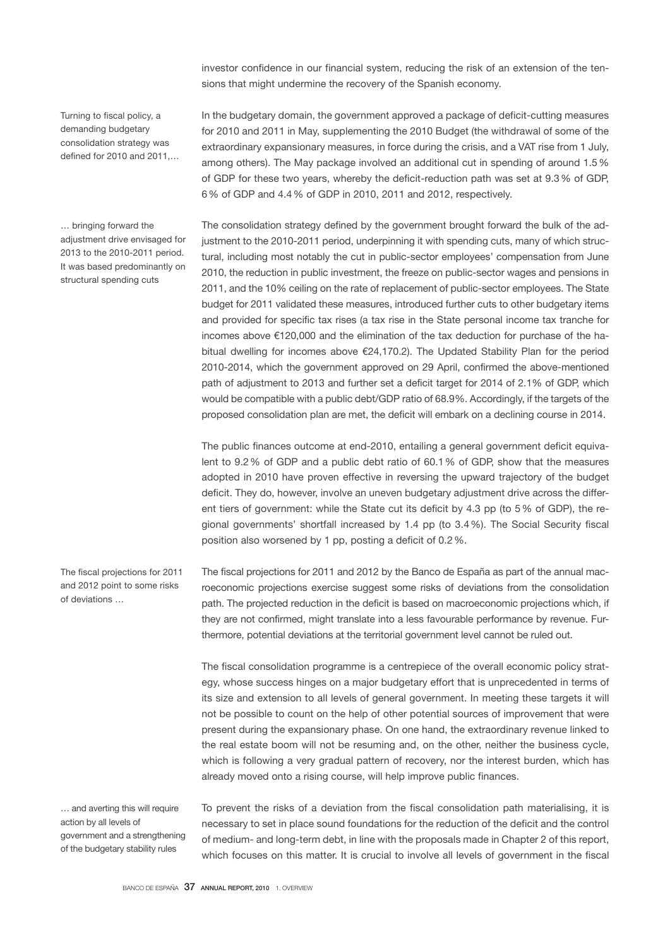investor confidence in our financial system, reducing the risk of an extension of the tensions that might undermine the recovery of the Spanish economy.

Turning to fiscal policy, a demanding budgetary consolidation strategy was defined for 2010 and 2011,…

… bringing forward the adjustment drive envisaged for 2013 to the 2010-2011 period. It was based predominantly on structural spending cuts

In the budgetary domain, the government approved a package of deficit-cutting measures for 2010 and 2011 in May, supplementing the 2010 Budget (the withdrawal of some of the extraordinary expansionary measures, in force during the crisis, and a VAT rise from 1 July, among others). The May package involved an additional cut in spending of around 1.5 % of GDP for these two years, whereby the deficit-reduction path was set at 9.3 % of GDP, 6 % of GDP and 4.4 % of GDP in 2010, 2011 and 2012, respectively.

The consolidation strategy defined by the government brought forward the bulk of the adjustment to the 2010-2011 period, underpinning it with spending cuts, many of which structural, including most notably the cut in public-sector employees' compensation from June 2010, the reduction in public investment, the freeze on public-sector wages and pensions in 2011, and the 10% ceiling on the rate of replacement of public-sector employees. The State budget for 2011 validated these measures, introduced further cuts to other budgetary items and provided for specific tax rises (a tax rise in the State personal income tax tranche for incomes above €120,000 and the elimination of the tax deduction for purchase of the habitual dwelling for incomes above €24,170.2). The Updated Stability Plan for the period 2010-2014, which the government approved on 29 April, confirmed the above-mentioned path of adjustment to 2013 and further set a deficit target for 2014 of 2.1% of GDP, which would be compatible with a public debt/GDP ratio of 68.9%. Accordingly, if the targets of the proposed consolidation plan are met, the deficit will embark on a declining course in 2014.

The public finances outcome at end-2010, entailing a general government deficit equivalent to 9.2 % of GDP and a public debt ratio of 60.1 % of GDP, show that the measures adopted in 2010 have proven effective in reversing the upward trajectory of the budget deficit. They do, however, involve an uneven budgetary adjustment drive across the different tiers of government: while the State cut its deficit by 4.3 pp (to 5 % of GDP), the regional governments' shortfall increased by 1.4 pp (to 3.4 %). The Social Security fiscal position also worsened by 1 pp, posting a deficit of 0.2 %.

The fiscal projections for 2011 and 2012 by the Banco de España as part of the annual macroeconomic projections exercise suggest some risks of deviations from the consolidation path. The projected reduction in the deficit is based on macroeconomic projections which, if they are not confirmed, might translate into a less favourable performance by revenue. Furthermore, potential deviations at the territorial government level cannot be ruled out.

The fiscal consolidation programme is a centrepiece of the overall economic policy strategy, whose success hinges on a major budgetary effort that is unprecedented in terms of its size and extension to all levels of general government. In meeting these targets it will not be possible to count on the help of other potential sources of improvement that were present during the expansionary phase. On one hand, the extraordinary revenue linked to the real estate boom will not be resuming and, on the other, neither the business cycle, which is following a very gradual pattern of recovery, nor the interest burden, which has already moved onto a rising course, will help improve public finances.

… and averting this will require action by all levels of government and a strengthening of the budgetary stability rules

The fiscal projections for 2011 and 2012 point to some risks

of deviations …

To prevent the risks of a deviation from the fiscal consolidation path materialising, it is necessary to set in place sound foundations for the reduction of the deficit and the control of medium- and long-term debt, in line with the proposals made in Chapter 2 of this report, which focuses on this matter. It is crucial to involve all levels of government in the fiscal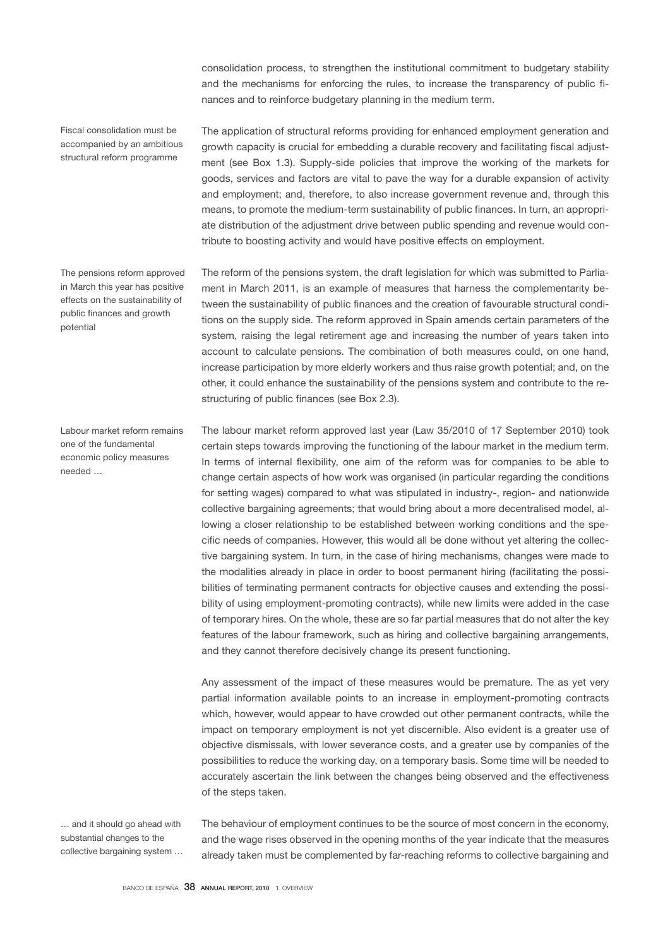consolidation process, to strengthen the institutional commitment to budgetary stability and the mechanisms for enforcing the rules, to increase the transparency of public finances and to reinforce budgetary planning in the medium term.

Fiscal consolidation must be accompanied by an ambitious structural reform programme

The pensions reform approved in March this year has positive effects on the sustainability of public finances and growth potential

Labour market reform remains one of the fundamental economic policy measures needed …

The application of structural reforms providing for enhanced employment generation and growth capacity is crucial for embedding a durable recovery and facilitating fiscal adjustment (see Box 1.3). Supply-side policies that improve the working of the markets for goods, services and factors are vital to pave the way for a durable expansion of activity and employment; and, therefore, to also increase government revenue and, through this means, to promote the medium-term sustainability of public finances. In turn, an appropriate distribution of the adjustment drive between public spending and revenue would contribute to boosting activity and would have positive effects on employment.

The reform of the pensions system, the draft legislation for which was submitted to Parliament in March 2011, is an example of measures that harness the complementarity between the sustainability of public finances and the creation of favourable structural conditions on the supply side. The reform approved in Spain amends certain parameters of the system, raising the legal retirement age and increasing the number of years taken into account to calculate pensions. The combination of both measures could, on one hand, increase participation by more elderly workers and thus raise growth potential; and, on the other, it could enhance the sustainability of the pensions system and contribute to the restructuring of public finances (see Box 2.3).

The labour market reform approved last year (Law 35/2010 of 17 September 2010) took certain steps towards improving the functioning of the labour market in the medium term. In terms of internal flexibility, one aim of the reform was for companies to be able to change certain aspects of how work was organised (in particular regarding the conditions for setting wages) compared to what was stipulated in industry-, region- and nationwide collective bargaining agreements; that would bring about a more decentralised model, allowing a closer relationship to be established between working conditions and the specific needs of companies. However, this would all be done without yet altering the collective bargaining system. In turn, in the case of hiring mechanisms, changes were made to the modalities already in place in order to boost permanent hiring (facilitating the possibilities of terminating permanent contracts for objective causes and extending the possibility of using employment-promoting contracts), while new limits were added in the case of temporary hires. On the whole, these are so far partial measures that do not alter the key features of the labour framework, such as hiring and collective bargaining arrangements, and they cannot therefore decisively change its present functioning.

Any assessment of the impact of these measures would be premature. The as yet very partial information available points to an increase in employment-promoting contracts which, however, would appear to have crowded out other permanent contracts, while the impact on temporary employment is not yet discernible. Also evident is a greater use of objective dismissals, with lower severance costs, and a greater use by companies of the possibilities to reduce the working day, on a temporary basis. Some time will be needed to accurately ascertain the link between the changes being observed and the effectiveness of the steps taken.

… and it should go ahead with substantial changes to the collective bargaining system …

The behaviour of employment continues to be the source of most concern in the economy, and the wage rises observed in the opening months of the year indicate that the measures already taken must be complemented by far-reaching reforms to collective bargaining and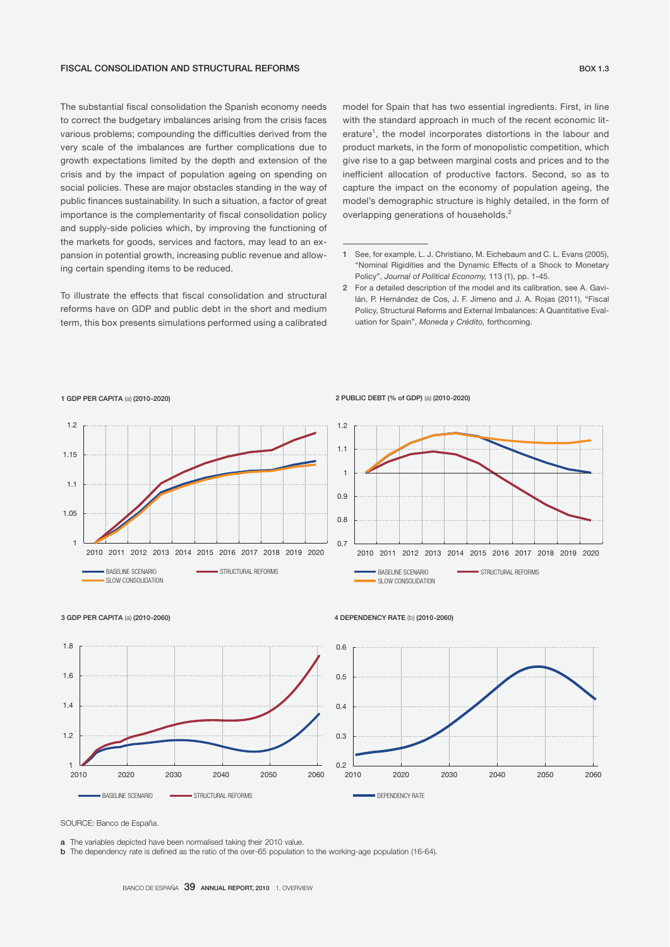#### FISCAL CONSOLIDATION AND STRUCTURAL REFORMS

The substantial fiscal consolidation the Spanish economy needs to correct the budgetary imbalances arising from the crisis faces various problems; compounding the difficulties derived from the very scale of the imbalances are further complications due to growth expectations limited by the depth and extension of the crisis and by the impact of population ageing on spending on social policies. These are major obstacles standing in the way of public finances sustainability. In such a situation, a factor of great importance is the complementarity of fiscal consolidation policy and supply-side policies which, by improving the functioning of the markets for goods, services and factors, may lead to an expansion in potential growth, increasing public revenue and allowing certain spending items to be reduced.

To illustrate the effects that fiscal consolidation and structural reforms have on GDP and public debt in the short and medium term, this box presents simulations performed using a calibrated

model for Spain that has two essential ingredients. First, in line with the standard approach in much of the recent economic literature<sup>1</sup>, the model incorporates distortions in the labour and product markets, in the form of monopolistic competition, which give rise to a gap between marginal costs and prices and to the inefficient allocation of productive factors. Second, so as to capture the impact on the economy of population ageing, the model's demographic structure is highly detailed, in the form of overlapping generations of households.<sup>2</sup>

#### 1 GDP PER CAPITA (a) (2010-2020)

# 1 1.05 1.1 1.15 1.2 2010 2011 2012 2013 2014 2015 2016 2017 2018 2019 2020 BASELINE SCENARIO STRUCTURAL REFORMS **SLOW CONSOLIDATION**

#### 2 PUBLIC DEBT (% of GDP) (a) (2010-2020)





#### 4 DEPENDENCY RATE (b) (2010-2060)



SOURCE: Banco de España.

**b** The dependency rate is defined as the ratio of the over-65 population to the working-age population (16-64).

<sup>1</sup> See, for example, L. J. Christiano, M. Eichebaum and C. L. Evans (2005), "Nominal Rigidities and the Dynamic Effects of a Shock to Monetary Policy", *Journal of Political Economy,* 113 (1), pp. 1-45.

<sup>2</sup> For a detailed description of the model and its calibration, see A. Gavilán, P. Hernández de Cos, J. F. Jimeno and J. A. Rojas (2011), "Fiscal Policy, Structural Reforms and External Imbalances: A Quantitative Evaluation for Spain", *Moneda y Crédito,* forthcoming.

a The variables depicted have been normalised taking their 2010 value.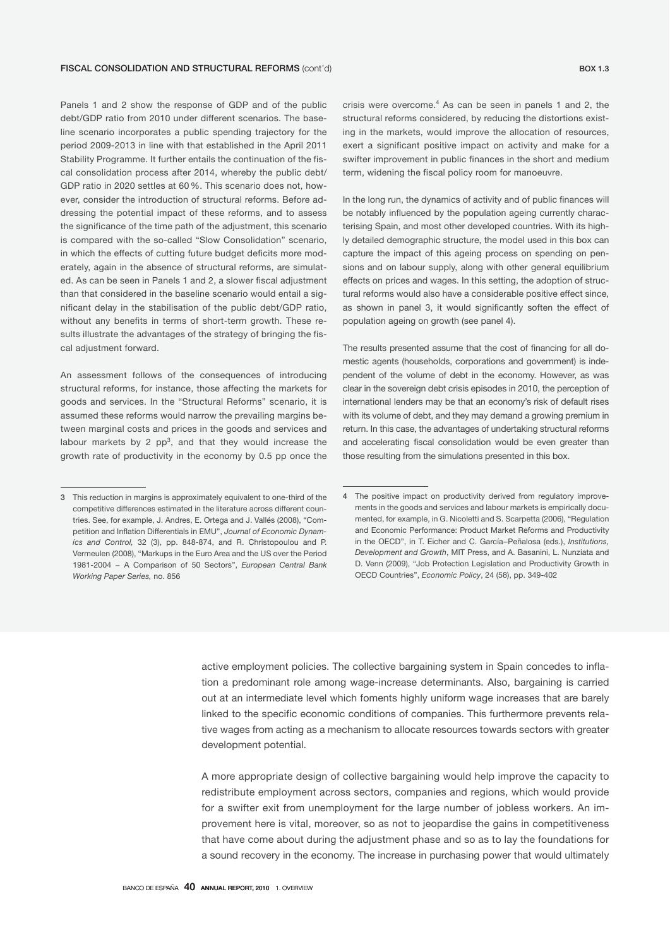#### FISCAL CONSOLIDATION AND STRUCTURAL REFORMS (cont'd) BOX 1.3

Panels 1 and 2 show the response of GDP and of the public debt/GDP ratio from 2010 under different scenarios. The baseline scenario incorporates a public spending trajectory for the period 2009-2013 in line with that established in the April 2011 Stability Programme. It further entails the continuation of the fiscal consolidation process after 2014, whereby the public debt/ GDP ratio in 2020 settles at 60 %. This scenario does not, however, consider the introduction of structural reforms. Before addressing the potential impact of these reforms, and to assess the significance of the time path of the adjustment, this scenario is compared with the so-called "Slow Consolidation" scenario, in which the effects of cutting future budget deficits more moderately, again in the absence of structural reforms, are simulated. As can be seen in Panels 1 and 2, a slower fiscal adjustment than that considered in the baseline scenario would entail a significant delay in the stabilisation of the public debt/GDP ratio, without any benefits in terms of short-term growth. These results illustrate the advantages of the strategy of bringing the fiscal adjustment forward.

An assessment follows of the consequences of introducing structural reforms, for instance, those affecting the markets for goods and services. In the "Structural Reforms" scenario, it is assumed these reforms would narrow the prevailing margins between marginal costs and prices in the goods and services and labour markets by 2  $pp^3$ , and that they would increase the growth rate of productivity in the economy by 0.5 pp once the

crisis were overcome. $4$  As can be seen in panels 1 and 2, the structural reforms considered, by reducing the distortions existing in the markets, would improve the allocation of resources, exert a significant positive impact on activity and make for a swifter improvement in public finances in the short and medium term, widening the fiscal policy room for manoeuvre.

In the long run, the dynamics of activity and of public finances will be notably influenced by the population ageing currently characterising Spain, and most other developed countries. With its highly detailed demographic structure, the model used in this box can capture the impact of this ageing process on spending on pensions and on labour supply, along with other general equilibrium effects on prices and wages. In this setting, the adoption of structural reforms would also have a considerable positive effect since, as shown in panel 3, it would significantly soften the effect of population ageing on growth (see panel 4).

The results presented assume that the cost of financing for all domestic agents (households, corporations and government) is independent of the volume of debt in the economy. However, as was clear in the sovereign debt crisis episodes in 2010, the perception of international lenders may be that an economy's risk of default rises with its volume of debt, and they may demand a growing premium in return. In this case, the advantages of undertaking structural reforms and accelerating fiscal consolidation would be even greater than those resulting from the simulations presented in this box.

active employment policies. The collective bargaining system in Spain concedes to inflation a predominant role among wage-increase determinants. Also, bargaining is carried out at an intermediate level which foments highly uniform wage increases that are barely linked to the specific economic conditions of companies. This furthermore prevents relative wages from acting as a mechanism to allocate resources towards sectors with greater development potential.

A more appropriate design of collective bargaining would help improve the capacity to redistribute employment across sectors, companies and regions, which would provide for a swifter exit from unemployment for the large number of jobless workers. An improvement here is vital, moreover, so as not to jeopardise the gains in competitiveness that have come about during the adjustment phase and so as to lay the foundations for a sound recovery in the economy. The increase in purchasing power that would ultimately

<sup>3</sup> This reduction in margins is approximately equivalent to one-third of the competitive differences estimated in the literature across different countries. See, for example, J. Andres, E. Ortega and J. Vallés (2008), "Competition and Inflation Differentials in EMU", *Journal of Economic Dynamics and Control,* 32 (3), pp. 848-874, and R. Christopoulou and P. Vermeulen (2008), "Markups in the Euro Area and the US over the Period 1981-2004 − A Comparison of 50 Sectors", *European Central Bank Working Paper Series,* no. 856

<sup>4</sup> The positive impact on productivity derived from regulatory improvements in the goods and services and labour markets is empirically documented, for example, in G. Nicoletti and S. Scarpetta (2006), "Regulation and Economic Performance: Product Market Reforms and Productivity in the OECD", in T. Eicher and C. García−Peñalosa (eds.), *Institutions, Development and Growth*, MIT Press, and A. Basanini, L. Nunziata and D. Venn (2009), "Job Protection Legislation and Productivity Growth in OECD Countries", *Economic Policy*, 24 (58), pp. 349-402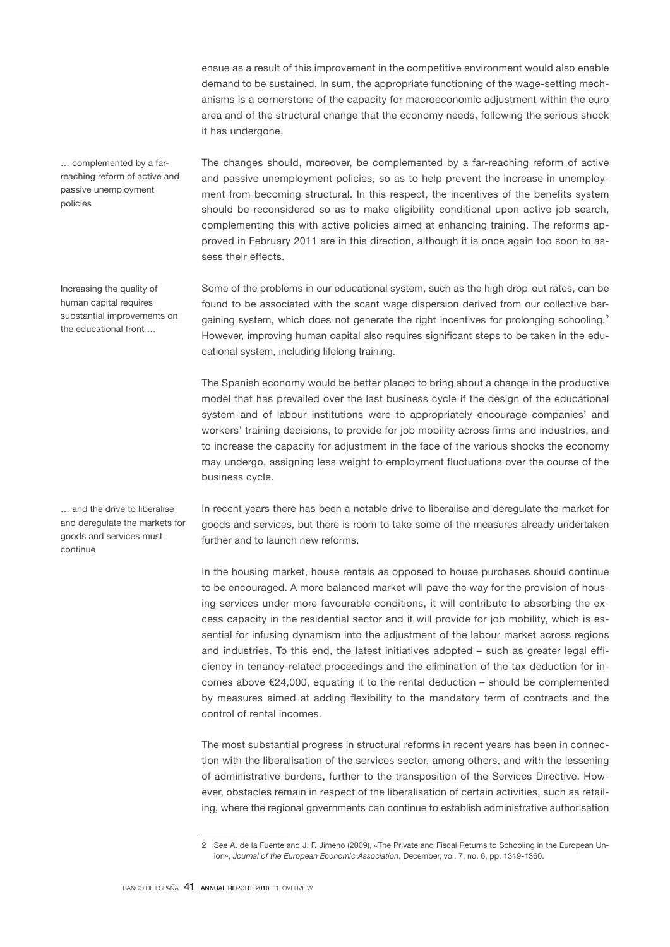ensue as a result of this improvement in the competitive environment would also enable demand to be sustained. In sum, the appropriate functioning of the wage-setting mechanisms is a cornerstone of the capacity for macroeconomic adjustment within the euro area and of the structural change that the economy needs, following the serious shock it has undergone.

The changes should, moreover, be complemented by a far-reaching reform of active and passive unemployment policies, so as to help prevent the increase in unemployment from becoming structural. In this respect, the incentives of the benefits system should be reconsidered so as to make eligibility conditional upon active job search, complementing this with active policies aimed at enhancing training. The reforms approved in February 2011 are in this direction, although it is once again too soon to assess their effects.

Some of the problems in our educational system, such as the high drop-out rates, can be found to be associated with the scant wage dispersion derived from our collective bargaining system, which does not generate the right incentives for prolonging schooling.<sup>2</sup> However, improving human capital also requires significant steps to be taken in the educational system, including lifelong training.

The Spanish economy would be better placed to bring about a change in the productive model that has prevailed over the last business cycle if the design of the educational system and of labour institutions were to appropriately encourage companies' and workers' training decisions, to provide for job mobility across firms and industries, and to increase the capacity for adjustment in the face of the various shocks the economy may undergo, assigning less weight to employment fluctuations over the course of the business cycle.

In recent years there has been a notable drive to liberalise and deregulate the market for goods and services, but there is room to take some of the measures already undertaken further and to launch new reforms.

In the housing market, house rentals as opposed to house purchases should continue to be encouraged. A more balanced market will pave the way for the provision of housing services under more favourable conditions, it will contribute to absorbing the excess capacity in the residential sector and it will provide for job mobility, which is essential for infusing dynamism into the adjustment of the labour market across regions and industries. To this end, the latest initiatives adopted – such as greater legal efficiency in tenancy-related proceedings and the elimination of the tax deduction for incomes above  $E24,000$ , equating it to the rental deduction – should be complemented by measures aimed at adding flexibility to the mandatory term of contracts and the control of rental incomes.

The most substantial progress in structural reforms in recent years has been in connection with the liberalisation of the services sector, among others, and with the lessening of administrative burdens, further to the transposition of the Services Directive. However, obstacles remain in respect of the liberalisation of certain activities, such as retailing, where the regional governments can continue to establish administrative authorisation

… complemented by a farreaching reform of active and passive unemployment policies

Increasing the quality of human capital requires substantial improvements on the educational front …

… and the drive to liberalise and deregulate the markets for goods and services must continue

<sup>2</sup> See A. de la Fuente and J. F. Jimeno (2009), «The Private and Fiscal Returns to Schooling in the European Union», *Journal of the European Economic Association*, December, vol. 7, no. 6, pp. 1319-1360.